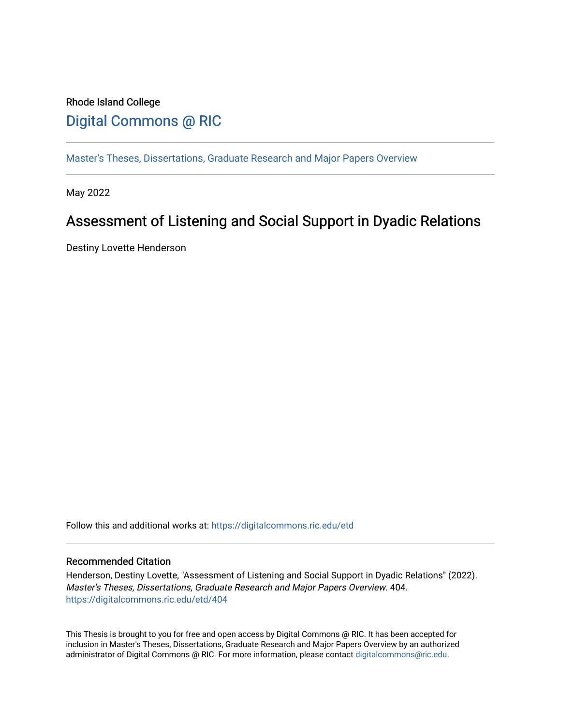# Rhode Island College [Digital Commons @ RIC](https://digitalcommons.ric.edu/)

[Master's Theses, Dissertations, Graduate Research and Major Papers Overview](https://digitalcommons.ric.edu/etd) 

May 2022

# Assessment of Listening and Social Support in Dyadic Relations

Destiny Lovette Henderson

Follow this and additional works at: [https://digitalcommons.ric.edu/etd](https://digitalcommons.ric.edu/etd?utm_source=digitalcommons.ric.edu%2Fetd%2F404&utm_medium=PDF&utm_campaign=PDFCoverPages)

#### Recommended Citation

Henderson, Destiny Lovette, "Assessment of Listening and Social Support in Dyadic Relations" (2022). Master's Theses, Dissertations, Graduate Research and Major Papers Overview. 404. [https://digitalcommons.ric.edu/etd/404](https://digitalcommons.ric.edu/etd/404?utm_source=digitalcommons.ric.edu%2Fetd%2F404&utm_medium=PDF&utm_campaign=PDFCoverPages) 

This Thesis is brought to you for free and open access by Digital Commons @ RIC. It has been accepted for inclusion in Master's Theses, Dissertations, Graduate Research and Major Papers Overview by an authorized administrator of Digital Commons @ RIC. For more information, please contact [digitalcommons@ric.edu](mailto:digitalcommons@ric.edu).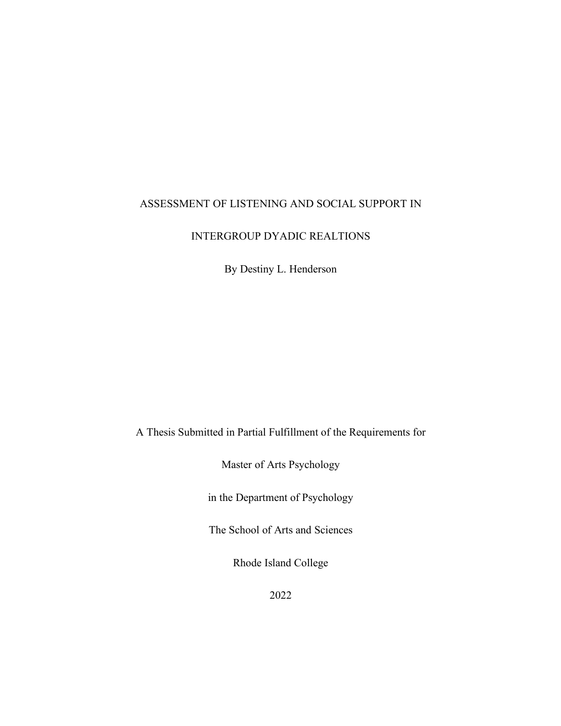### ASSESSMENT OF LISTENING AND SOCIAL SUPPORT IN

#### INTERGROUP DYADIC REALTIONS

By Destiny L. Henderson

A Thesis Submitted in Partial Fulfillment of the Requirements for

Master of Arts Psychology

in the Department of Psychology

The School of Arts and Sciences

Rhode Island College

2022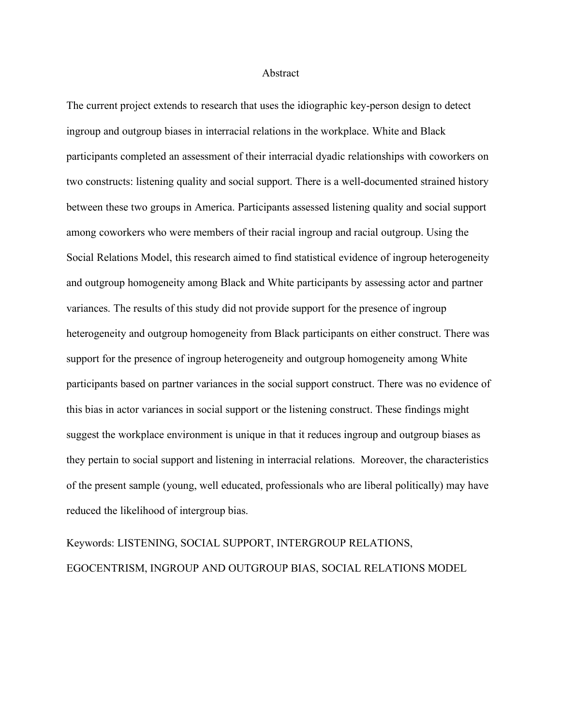#### Abstract

The current project extends to research that uses the idiographic key-person design to detect ingroup and outgroup biases in interracial relations in the workplace. White and Black participants completed an assessment of their interracial dyadic relationships with coworkers on two constructs: listening quality and social support. There is a well-documented strained history between these two groups in America. Participants assessed listening quality and social support among coworkers who were members of their racial ingroup and racial outgroup. Using the Social Relations Model, this research aimed to find statistical evidence of ingroup heterogeneity and outgroup homogeneity among Black and White participants by assessing actor and partner variances. The results of this study did not provide support for the presence of ingroup heterogeneity and outgroup homogeneity from Black participants on either construct. There was support for the presence of ingroup heterogeneity and outgroup homogeneity among White participants based on partner variances in the social support construct. There was no evidence of this bias in actor variances in social support or the listening construct. These findings might suggest the workplace environment is unique in that it reduces ingroup and outgroup biases as they pertain to social support and listening in interracial relations. Moreover, the characteristics of the present sample (young, well educated, professionals who are liberal politically) may have reduced the likelihood of intergroup bias.

Keywords: LISTENING, SOCIAL SUPPORT, INTERGROUP RELATIONS, EGOCENTRISM, INGROUP AND OUTGROUP BIAS, SOCIAL RELATIONS MODEL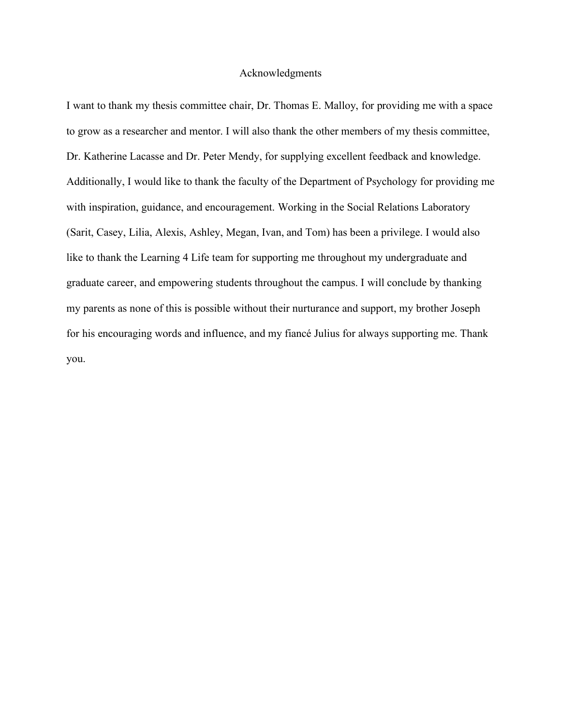#### Acknowledgments

I want to thank my thesis committee chair, Dr. Thomas E. Malloy, for providing me with a space to grow as a researcher and mentor. I will also thank the other members of my thesis committee, Dr. Katherine Lacasse and Dr. Peter Mendy, for supplying excellent feedback and knowledge. Additionally, I would like to thank the faculty of the Department of Psychology for providing me with inspiration, guidance, and encouragement. Working in the Social Relations Laboratory (Sarit, Casey, Lilia, Alexis, Ashley, Megan, Ivan, and Tom) has been a privilege. I would also like to thank the Learning 4 Life team for supporting me throughout my undergraduate and graduate career, and empowering students throughout the campus. I will conclude by thanking my parents as none of this is possible without their nurturance and support, my brother Joseph for his encouraging words and influence, and my fiancé Julius for always supporting me. Thank you.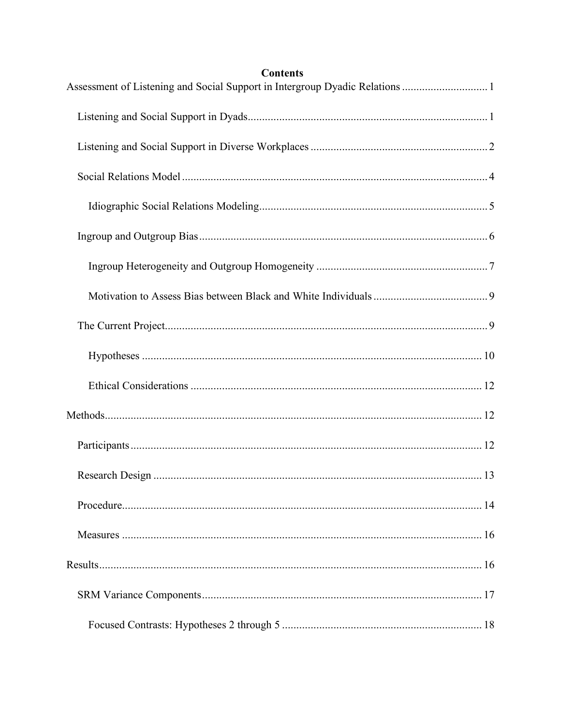## **Contents**

| Assessment of Listening and Social Support in Intergroup Dyadic Relations  1 |  |
|------------------------------------------------------------------------------|--|
|                                                                              |  |
|                                                                              |  |
|                                                                              |  |
|                                                                              |  |
|                                                                              |  |
|                                                                              |  |
|                                                                              |  |
|                                                                              |  |
|                                                                              |  |
|                                                                              |  |
|                                                                              |  |
|                                                                              |  |
|                                                                              |  |
|                                                                              |  |
|                                                                              |  |
|                                                                              |  |
|                                                                              |  |
|                                                                              |  |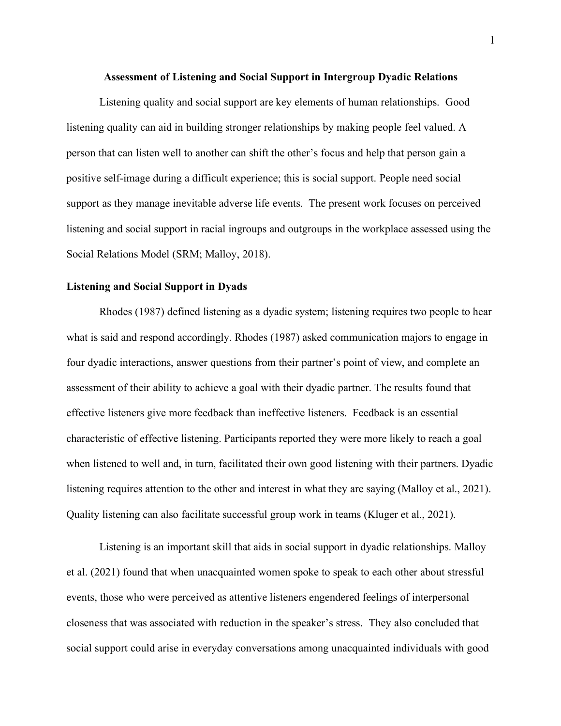#### **Assessment of Listening and Social Support in Intergroup Dyadic Relations**

Listening quality and social support are key elements of human relationships. Good listening quality can aid in building stronger relationships by making people feel valued. A person that can listen well to another can shift the other's focus and help that person gain a positive self-image during a difficult experience; this is social support. People need social support as they manage inevitable adverse life events. The present work focuses on perceived listening and social support in racial ingroups and outgroups in the workplace assessed using the Social Relations Model (SRM; Malloy, 2018).

#### **Listening and Social Support in Dyads**

Rhodes (1987) defined listening as a dyadic system; listening requires two people to hear what is said and respond accordingly. Rhodes (1987) asked communication majors to engage in four dyadic interactions, answer questions from their partner's point of view, and complete an assessment of their ability to achieve a goal with their dyadic partner. The results found that effective listeners give more feedback than ineffective listeners. Feedback is an essential characteristic of effective listening. Participants reported they were more likely to reach a goal when listened to well and, in turn, facilitated their own good listening with their partners. Dyadic listening requires attention to the other and interest in what they are saying (Malloy et al., 2021). Quality listening can also facilitate successful group work in teams (Kluger et al., 2021).

Listening is an important skill that aids in social support in dyadic relationships. Malloy et al. (2021) found that when unacquainted women spoke to speak to each other about stressful events, those who were perceived as attentive listeners engendered feelings of interpersonal closeness that was associated with reduction in the speaker's stress. They also concluded that social support could arise in everyday conversations among unacquainted individuals with good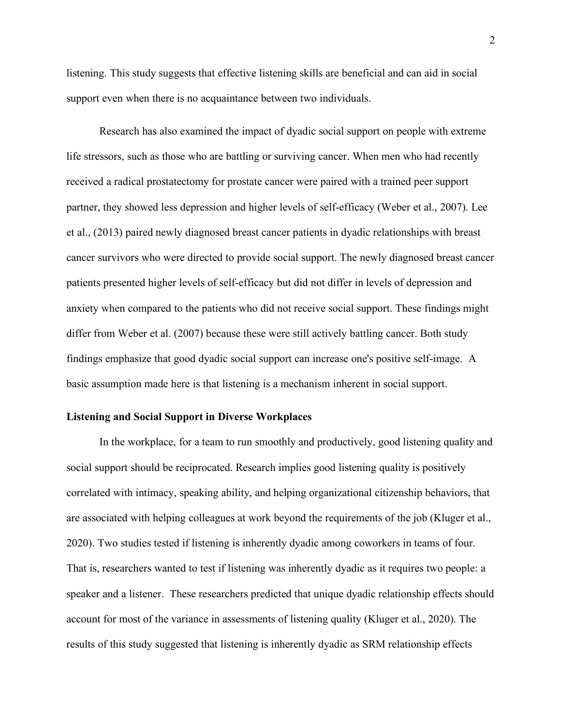listening. This study suggests that effective listening skills are beneficial and can aid in social support even when there is no acquaintance between two individuals.

Research has also examined the impact of dyadic social support on people with extreme life stressors, such as those who are battling or surviving cancer. When men who had recently received a radical prostatectomy for prostate cancer were paired with a trained peer support partner, they showed less depression and higher levels of self-efficacy (Weber et al., 2007). Lee et al., (2013) paired newly diagnosed breast cancer patients in dyadic relationships with breast cancer survivors who were directed to provide social support. The newly diagnosed breast cancer patients presented higher levels of self-efficacy but did not differ in levels of depression and anxiety when compared to the patients who did not receive social support. These findings might differ from Weber et al. (2007) because these were still actively battling cancer. Both study findings emphasize that good dyadic social support can increase one's positive self-image. A basic assumption made here is that listening is a mechanism inherent in social support.

#### **Listening and Social Support in Diverse Workplaces**

In the workplace, for a team to run smoothly and productively, good listening quality and social support should be reciprocated. Research implies good listening quality is positively correlated with intimacy, speaking ability, and helping organizational citizenship behaviors, that are associated with helping colleagues at work beyond the requirements of the job (Kluger et al., 2020). Two studies tested if listening is inherently dyadic among coworkers in teams of four. That is, researchers wanted to test if listening was inherently dyadic as it requires two people: a speaker and a listener. These researchers predicted that unique dyadic relationship effects should account for most of the variance in assessments of listening quality (Kluger et al., 2020). The results of this study suggested that listening is inherently dyadic as SRM relationship effects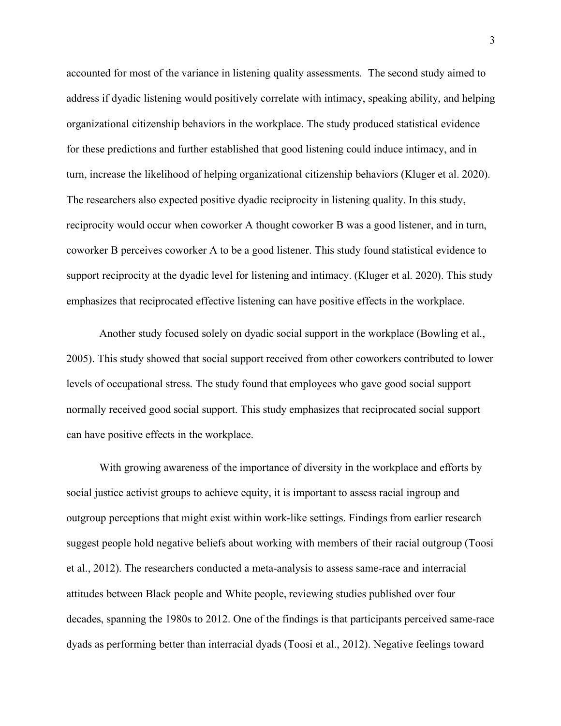accounted for most of the variance in listening quality assessments. The second study aimed to address if dyadic listening would positively correlate with intimacy, speaking ability, and helping organizational citizenship behaviors in the workplace. The study produced statistical evidence for these predictions and further established that good listening could induce intimacy, and in turn, increase the likelihood of helping organizational citizenship behaviors (Kluger et al. 2020). The researchers also expected positive dyadic reciprocity in listening quality. In this study, reciprocity would occur when coworker A thought coworker B was a good listener, and in turn, coworker B perceives coworker A to be a good listener. This study found statistical evidence to support reciprocity at the dyadic level for listening and intimacy. (Kluger et al. 2020). This study emphasizes that reciprocated effective listening can have positive effects in the workplace.

Another study focused solely on dyadic social support in the workplace (Bowling et al., 2005). This study showed that social support received from other coworkers contributed to lower levels of occupational stress. The study found that employees who gave good social support normally received good social support. This study emphasizes that reciprocated social support can have positive effects in the workplace.

With growing awareness of the importance of diversity in the workplace and efforts by social justice activist groups to achieve equity, it is important to assess racial ingroup and outgroup perceptions that might exist within work-like settings. Findings from earlier research suggest people hold negative beliefs about working with members of their racial outgroup (Toosi et al., 2012). The researchers conducted a meta-analysis to assess same-race and interracial attitudes between Black people and White people, reviewing studies published over four decades, spanning the 1980s to 2012. One of the findings is that participants perceived same-race dyads as performing better than interracial dyads (Toosi et al., 2012). Negative feelings toward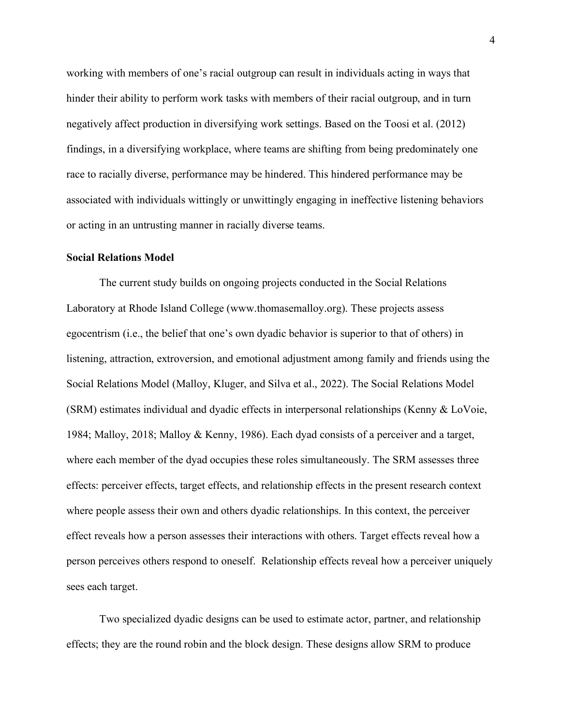working with members of one's racial outgroup can result in individuals acting in ways that hinder their ability to perform work tasks with members of their racial outgroup, and in turn negatively affect production in diversifying work settings. Based on the Toosi et al. (2012) findings, in a diversifying workplace, where teams are shifting from being predominately one race to racially diverse, performance may be hindered. This hindered performance may be associated with individuals wittingly or unwittingly engaging in ineffective listening behaviors or acting in an untrusting manner in racially diverse teams.

#### **Social Relations Model**

The current study builds on ongoing projects conducted in the Social Relations Laboratory at Rhode Island College (www.thomasemalloy.org). These projects assess egocentrism (i.e., the belief that one's own dyadic behavior is superior to that of others) in listening, attraction, extroversion, and emotional adjustment among family and friends using the Social Relations Model (Malloy, Kluger, and Silva et al., 2022). The Social Relations Model (SRM) estimates individual and dyadic effects in interpersonal relationships (Kenny & LoVoie, 1984; Malloy, 2018; Malloy & Kenny, 1986). Each dyad consists of a perceiver and a target, where each member of the dyad occupies these roles simultaneously. The SRM assesses three effects: perceiver effects, target effects, and relationship effects in the present research context where people assess their own and others dyadic relationships. In this context, the perceiver effect reveals how a person assesses their interactions with others. Target effects reveal how a person perceives others respond to oneself. Relationship effects reveal how a perceiver uniquely sees each target.

Two specialized dyadic designs can be used to estimate actor, partner, and relationship effects; they are the round robin and the block design. These designs allow SRM to produce

4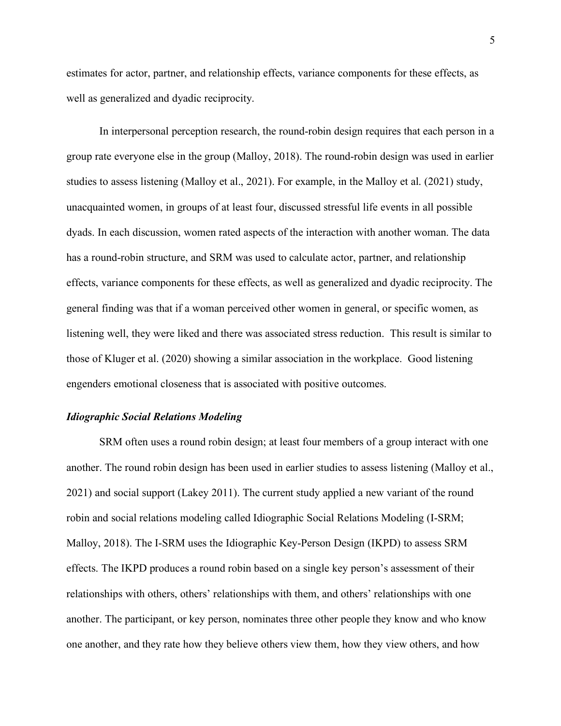estimates for actor, partner, and relationship effects, variance components for these effects, as well as generalized and dyadic reciprocity.

In interpersonal perception research, the round-robin design requires that each person in a group rate everyone else in the group (Malloy, 2018). The round-robin design was used in earlier studies to assess listening (Malloy et al., 2021). For example, in the Malloy et al. (2021) study, unacquainted women, in groups of at least four, discussed stressful life events in all possible dyads. In each discussion, women rated aspects of the interaction with another woman. The data has a round-robin structure, and SRM was used to calculate actor, partner, and relationship effects, variance components for these effects, as well as generalized and dyadic reciprocity. The general finding was that if a woman perceived other women in general, or specific women, as listening well, they were liked and there was associated stress reduction. This result is similar to those of Kluger et al. (2020) showing a similar association in the workplace. Good listening engenders emotional closeness that is associated with positive outcomes.

#### *Idiographic Social Relations Modeling*

SRM often uses a round robin design; at least four members of a group interact with one another. The round robin design has been used in earlier studies to assess listening (Malloy et al., 2021) and social support (Lakey 2011). The current study applied a new variant of the round robin and social relations modeling called Idiographic Social Relations Modeling (I-SRM; Malloy, 2018). The I-SRM uses the Idiographic Key-Person Design (IKPD) to assess SRM effects. The IKPD produces a round robin based on a single key person's assessment of their relationships with others, others' relationships with them, and others' relationships with one another. The participant, or key person, nominates three other people they know and who know one another, and they rate how they believe others view them, how they view others, and how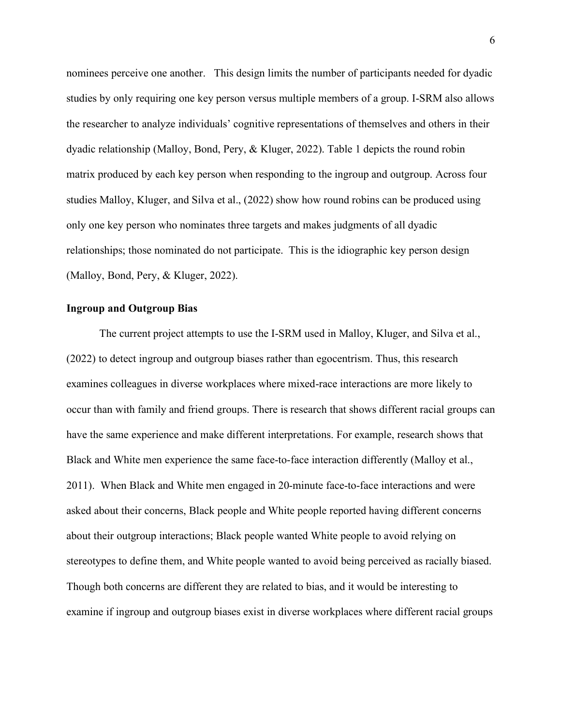nominees perceive one another. This design limits the number of participants needed for dyadic studies by only requiring one key person versus multiple members of a group. I-SRM also allows the researcher to analyze individuals' cognitive representations of themselves and others in their dyadic relationship (Malloy, Bond, Pery, & Kluger, 2022). Table 1 depicts the round robin matrix produced by each key person when responding to the ingroup and outgroup. Across four studies Malloy, Kluger, and Silva et al., (2022) show how round robins can be produced using only one key person who nominates three targets and makes judgments of all dyadic relationships; those nominated do not participate. This is the idiographic key person design (Malloy, Bond, Pery, & Kluger, 2022).

#### **Ingroup and Outgroup Bias**

The current project attempts to use the I-SRM used in Malloy, Kluger, and Silva et al., (2022) to detect ingroup and outgroup biases rather than egocentrism. Thus, this research examines colleagues in diverse workplaces where mixed-race interactions are more likely to occur than with family and friend groups. There is research that shows different racial groups can have the same experience and make different interpretations. For example, research shows that Black and White men experience the same face-to-face interaction differently (Malloy et al., 2011). When Black and White men engaged in 20-minute face-to-face interactions and were asked about their concerns, Black people and White people reported having different concerns about their outgroup interactions; Black people wanted White people to avoid relying on stereotypes to define them, and White people wanted to avoid being perceived as racially biased. Though both concerns are different they are related to bias, and it would be interesting to examine if ingroup and outgroup biases exist in diverse workplaces where different racial groups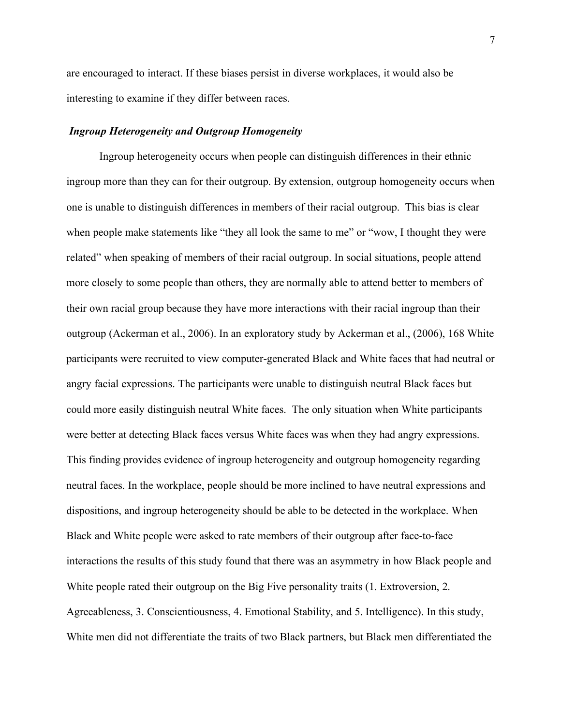are encouraged to interact. If these biases persist in diverse workplaces, it would also be interesting to examine if they differ between races.

#### *Ingroup Heterogeneity and Outgroup Homogeneity*

Ingroup heterogeneity occurs when people can distinguish differences in their ethnic ingroup more than they can for their outgroup. By extension, outgroup homogeneity occurs when one is unable to distinguish differences in members of their racial outgroup. This bias is clear when people make statements like "they all look the same to me" or "wow, I thought they were related" when speaking of members of their racial outgroup. In social situations, people attend more closely to some people than others, they are normally able to attend better to members of their own racial group because they have more interactions with their racial ingroup than their outgroup (Ackerman et al., 2006). In an exploratory study by Ackerman et al., (2006), 168 White participants were recruited to view computer-generated Black and White faces that had neutral or angry facial expressions. The participants were unable to distinguish neutral Black faces but could more easily distinguish neutral White faces. The only situation when White participants were better at detecting Black faces versus White faces was when they had angry expressions. This finding provides evidence of ingroup heterogeneity and outgroup homogeneity regarding neutral faces. In the workplace, people should be more inclined to have neutral expressions and dispositions, and ingroup heterogeneity should be able to be detected in the workplace. When Black and White people were asked to rate members of their outgroup after face-to-face interactions the results of this study found that there was an asymmetry in how Black people and White people rated their outgroup on the Big Five personality traits (1. Extroversion, 2. Agreeableness, 3. Conscientiousness, 4. Emotional Stability, and 5. Intelligence). In this study, White men did not differentiate the traits of two Black partners, but Black men differentiated the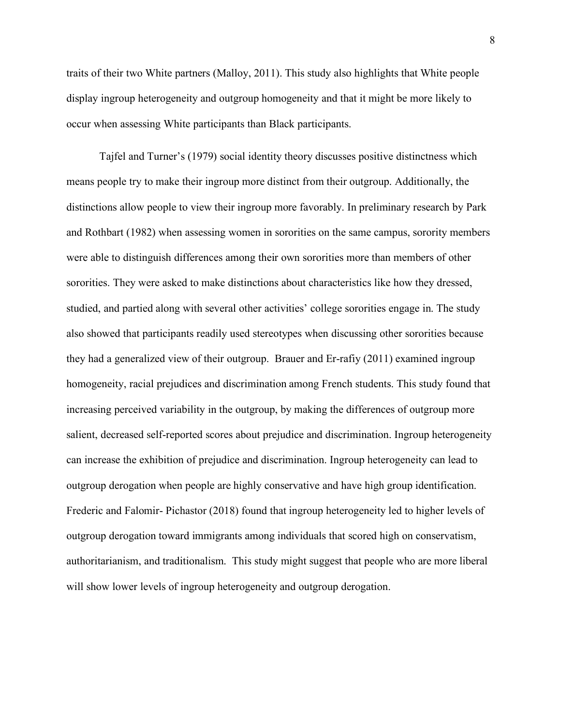traits of their two White partners (Malloy, 2011). This study also highlights that White people display ingroup heterogeneity and outgroup homogeneity and that it might be more likely to occur when assessing White participants than Black participants.

Tajfel and Turner's (1979) social identity theory discusses positive distinctness which means people try to make their ingroup more distinct from their outgroup. Additionally, the distinctions allow people to view their ingroup more favorably. In preliminary research by Park and Rothbart (1982) when assessing women in sororities on the same campus, sorority members were able to distinguish differences among their own sororities more than members of other sororities. They were asked to make distinctions about characteristics like how they dressed, studied, and partied along with several other activities' college sororities engage in. The study also showed that participants readily used stereotypes when discussing other sororities because they had a generalized view of their outgroup. Brauer and Er-rafiy (2011) examined ingroup homogeneity, racial prejudices and discrimination among French students. This study found that increasing perceived variability in the outgroup, by making the differences of outgroup more salient, decreased self-reported scores about prejudice and discrimination. Ingroup heterogeneity can increase the exhibition of prejudice and discrimination. Ingroup heterogeneity can lead to outgroup derogation when people are highly conservative and have high group identification. Frederic and Falomir- Pichastor (2018) found that ingroup heterogeneity led to higher levels of outgroup derogation toward immigrants among individuals that scored high on conservatism, authoritarianism, and traditionalism. This study might suggest that people who are more liberal will show lower levels of ingroup heterogeneity and outgroup derogation.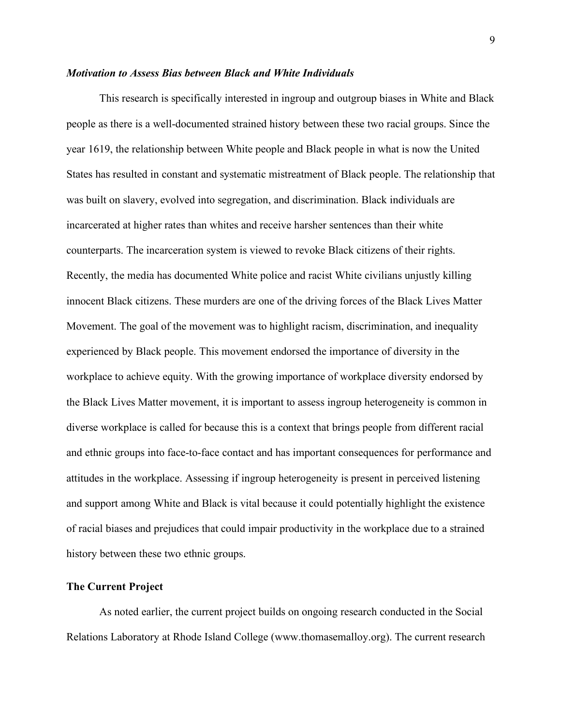#### *Motivation to Assess Bias between Black and White Individuals*

This research is specifically interested in ingroup and outgroup biases in White and Black people as there is a well-documented strained history between these two racial groups. Since the year 1619, the relationship between White people and Black people in what is now the United States has resulted in constant and systematic mistreatment of Black people. The relationship that was built on slavery, evolved into segregation, and discrimination. Black individuals are incarcerated at higher rates than whites and receive harsher sentences than their white counterparts. The incarceration system is viewed to revoke Black citizens of their rights. Recently, the media has documented White police and racist White civilians unjustly killing innocent Black citizens. These murders are one of the driving forces of the Black Lives Matter Movement. The goal of the movement was to highlight racism, discrimination, and inequality experienced by Black people. This movement endorsed the importance of diversity in the workplace to achieve equity. With the growing importance of workplace diversity endorsed by the Black Lives Matter movement, it is important to assess ingroup heterogeneity is common in diverse workplace is called for because this is a context that brings people from different racial and ethnic groups into face-to-face contact and has important consequences for performance and attitudes in the workplace. Assessing if ingroup heterogeneity is present in perceived listening and support among White and Black is vital because it could potentially highlight the existence of racial biases and prejudices that could impair productivity in the workplace due to a strained history between these two ethnic groups.

#### **The Current Project**

As noted earlier, the current project builds on ongoing research conducted in the Social Relations Laboratory at Rhode Island College (www.thomasemalloy.org). The current research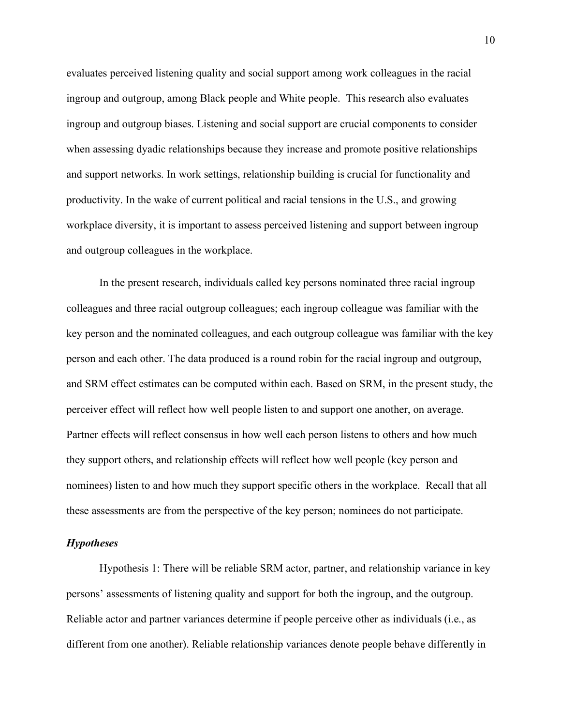evaluates perceived listening quality and social support among work colleagues in the racial ingroup and outgroup, among Black people and White people. This research also evaluates ingroup and outgroup biases. Listening and social support are crucial components to consider when assessing dyadic relationships because they increase and promote positive relationships and support networks. In work settings, relationship building is crucial for functionality and productivity. In the wake of current political and racial tensions in the U.S., and growing workplace diversity, it is important to assess perceived listening and support between ingroup and outgroup colleagues in the workplace.

In the present research, individuals called key persons nominated three racial ingroup colleagues and three racial outgroup colleagues; each ingroup colleague was familiar with the key person and the nominated colleagues, and each outgroup colleague was familiar with the key person and each other. The data produced is a round robin for the racial ingroup and outgroup, and SRM effect estimates can be computed within each. Based on SRM, in the present study, the perceiver effect will reflect how well people listen to and support one another, on average. Partner effects will reflect consensus in how well each person listens to others and how much they support others, and relationship effects will reflect how well people (key person and nominees) listen to and how much they support specific others in the workplace. Recall that all these assessments are from the perspective of the key person; nominees do not participate.

#### *Hypotheses*

Hypothesis 1: There will be reliable SRM actor, partner, and relationship variance in key persons' assessments of listening quality and support for both the ingroup, and the outgroup. Reliable actor and partner variances determine if people perceive other as individuals (i.e., as different from one another). Reliable relationship variances denote people behave differently in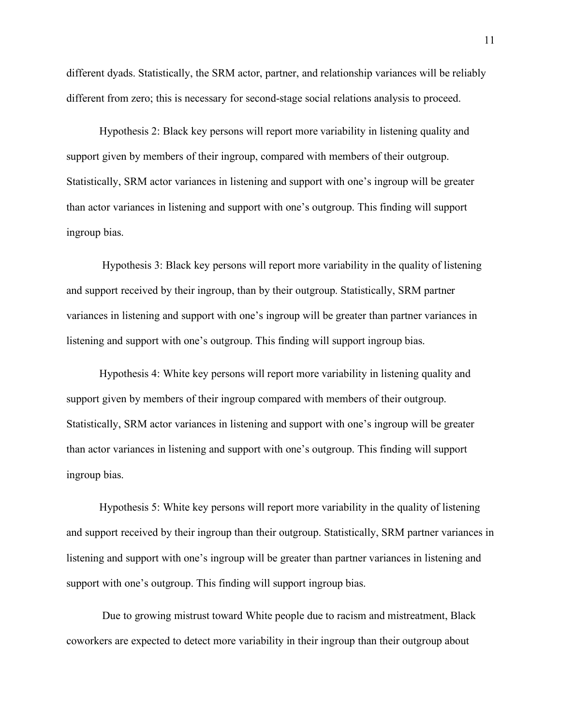different dyads. Statistically, the SRM actor, partner, and relationship variances will be reliably different from zero; this is necessary for second-stage social relations analysis to proceed.

Hypothesis 2: Black key persons will report more variability in listening quality and support given by members of their ingroup, compared with members of their outgroup. Statistically, SRM actor variances in listening and support with one's ingroup will be greater than actor variances in listening and support with one's outgroup. This finding will support ingroup bias.

Hypothesis 3: Black key persons will report more variability in the quality of listening and support received by their ingroup, than by their outgroup. Statistically, SRM partner variances in listening and support with one's ingroup will be greater than partner variances in listening and support with one's outgroup. This finding will support ingroup bias.

Hypothesis 4: White key persons will report more variability in listening quality and support given by members of their ingroup compared with members of their outgroup. Statistically, SRM actor variances in listening and support with one's ingroup will be greater than actor variances in listening and support with one's outgroup. This finding will support ingroup bias.

Hypothesis 5: White key persons will report more variability in the quality of listening and support received by their ingroup than their outgroup. Statistically, SRM partner variances in listening and support with one's ingroup will be greater than partner variances in listening and support with one's outgroup. This finding will support ingroup bias.

Due to growing mistrust toward White people due to racism and mistreatment, Black coworkers are expected to detect more variability in their ingroup than their outgroup about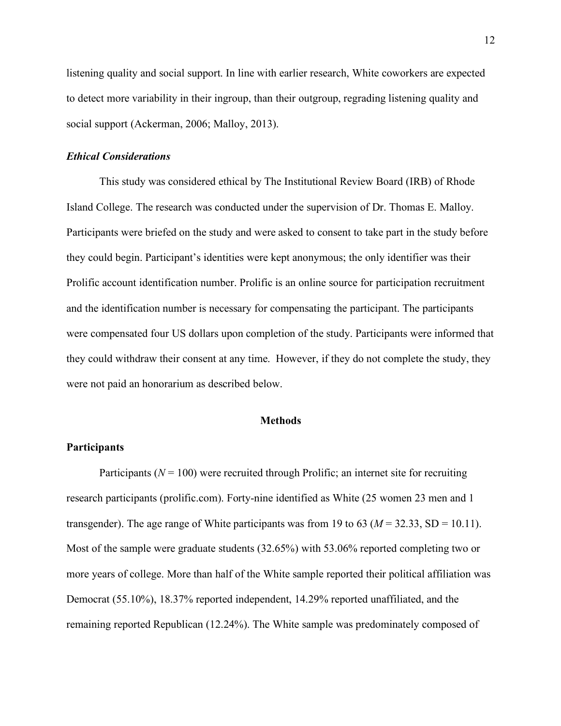listening quality and social support. In line with earlier research, White coworkers are expected to detect more variability in their ingroup, than their outgroup, regrading listening quality and social support (Ackerman, 2006; Malloy, 2013).

#### *Ethical Considerations*

This study was considered ethical by The Institutional Review Board (IRB) of Rhode Island College. The research was conducted under the supervision of Dr. Thomas E. Malloy. Participants were briefed on the study and were asked to consent to take part in the study before they could begin. Participant's identities were kept anonymous; the only identifier was their Prolific account identification number. Prolific is an online source for participation recruitment and the identification number is necessary for compensating the participant. The participants were compensated four US dollars upon completion of the study. Participants were informed that they could withdraw their consent at any time. However, if they do not complete the study, they were not paid an honorarium as described below.

#### **Methods**

#### **Participants**

Participants ( $N = 100$ ) were recruited through Prolific; an internet site for recruiting research participants (prolific.com). Forty-nine identified as White (25 women 23 men and 1 transgender). The age range of White participants was from 19 to 63 ( $M = 32.33$ , SD = 10.11). Most of the sample were graduate students (32.65%) with 53.06% reported completing two or more years of college. More than half of the White sample reported their political affiliation was Democrat (55.10%), 18.37% reported independent, 14.29% reported unaffiliated, and the remaining reported Republican (12.24%). The White sample was predominately composed of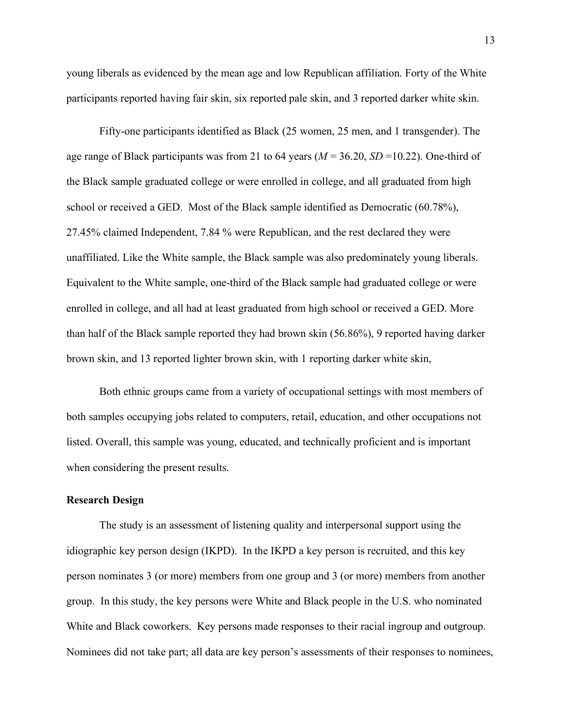young liberals as evidenced by the mean age and low Republican affiliation. Forty of the White participants reported having fair skin, six reported pale skin, and 3 reported darker white skin.

Fifty-one participants identified as Black (25 women, 25 men, and 1 transgender). The age range of Black participants was from 21 to 64 years (*M* = 36.20, *SD* =10.22). One-third of the Black sample graduated college or were enrolled in college, and all graduated from high school or received a GED. Most of the Black sample identified as Democratic (60.78%), 27.45% claimed Independent, 7.84 % were Republican, and the rest declared they were unaffiliated. Like the White sample, the Black sample was also predominately young liberals. Equivalent to the White sample, one-third of the Black sample had graduated college or were enrolled in college, and all had at least graduated from high school or received a GED. More than half of the Black sample reported they had brown skin (56.86%), 9 reported having darker brown skin, and 13 reported lighter brown skin, with 1 reporting darker white skin,

Both ethnic groups came from a variety of occupational settings with most members of both samples occupying jobs related to computers, retail, education, and other occupations not listed. Overall, this sample was young, educated, and technically proficient and is important when considering the present results.

#### **Research Design**

The study is an assessment of listening quality and interpersonal support using the idiographic key person design (IKPD). In the IKPD a key person is recruited, and this key person nominates 3 (or more) members from one group and 3 (or more) members from another group. In this study, the key persons were White and Black people in the U.S. who nominated White and Black coworkers. Key persons made responses to their racial ingroup and outgroup. Nominees did not take part; all data are key person's assessments of their responses to nominees,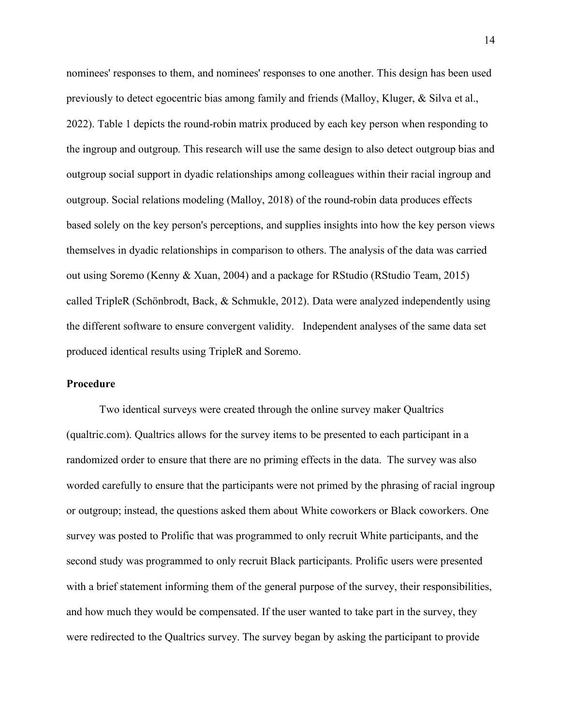nominees' responses to them, and nominees' responses to one another. This design has been used previously to detect egocentric bias among family and friends (Malloy, Kluger, & Silva et al., 2022). Table 1 depicts the round-robin matrix produced by each key person when responding to the ingroup and outgroup. This research will use the same design to also detect outgroup bias and outgroup social support in dyadic relationships among colleagues within their racial ingroup and outgroup. Social relations modeling (Malloy, 2018) of the round-robin data produces effects based solely on the key person's perceptions, and supplies insights into how the key person views themselves in dyadic relationships in comparison to others. The analysis of the data was carried out using Soremo (Kenny & Xuan, 2004) and a package for RStudio (RStudio Team, 2015) called TripleR (Schönbrodt, Back, & Schmukle, 2012). Data were analyzed independently using the different software to ensure convergent validity. Independent analyses of the same data set produced identical results using TripleR and Soremo.

#### **Procedure**

Two identical surveys were created through the online survey maker Qualtrics (qualtric.com). Qualtrics allows for the survey items to be presented to each participant in a randomized order to ensure that there are no priming effects in the data. The survey was also worded carefully to ensure that the participants were not primed by the phrasing of racial ingroup or outgroup; instead, the questions asked them about White coworkers or Black coworkers. One survey was posted to Prolific that was programmed to only recruit White participants, and the second study was programmed to only recruit Black participants. Prolific users were presented with a brief statement informing them of the general purpose of the survey, their responsibilities, and how much they would be compensated. If the user wanted to take part in the survey, they were redirected to the Qualtrics survey. The survey began by asking the participant to provide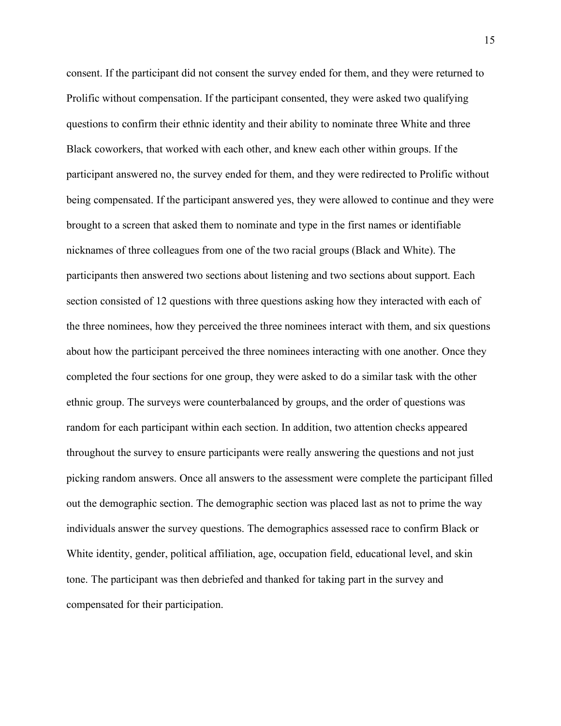consent. If the participant did not consent the survey ended for them, and they were returned to Prolific without compensation. If the participant consented, they were asked two qualifying questions to confirm their ethnic identity and their ability to nominate three White and three Black coworkers, that worked with each other, and knew each other within groups. If the participant answered no, the survey ended for them, and they were redirected to Prolific without being compensated. If the participant answered yes, they were allowed to continue and they were brought to a screen that asked them to nominate and type in the first names or identifiable nicknames of three colleagues from one of the two racial groups (Black and White). The participants then answered two sections about listening and two sections about support. Each section consisted of 12 questions with three questions asking how they interacted with each of the three nominees, how they perceived the three nominees interact with them, and six questions about how the participant perceived the three nominees interacting with one another. Once they completed the four sections for one group, they were asked to do a similar task with the other ethnic group. The surveys were counterbalanced by groups, and the order of questions was random for each participant within each section. In addition, two attention checks appeared throughout the survey to ensure participants were really answering the questions and not just picking random answers. Once all answers to the assessment were complete the participant filled out the demographic section. The demographic section was placed last as not to prime the way individuals answer the survey questions. The demographics assessed race to confirm Black or White identity, gender, political affiliation, age, occupation field, educational level, and skin tone. The participant was then debriefed and thanked for taking part in the survey and compensated for their participation.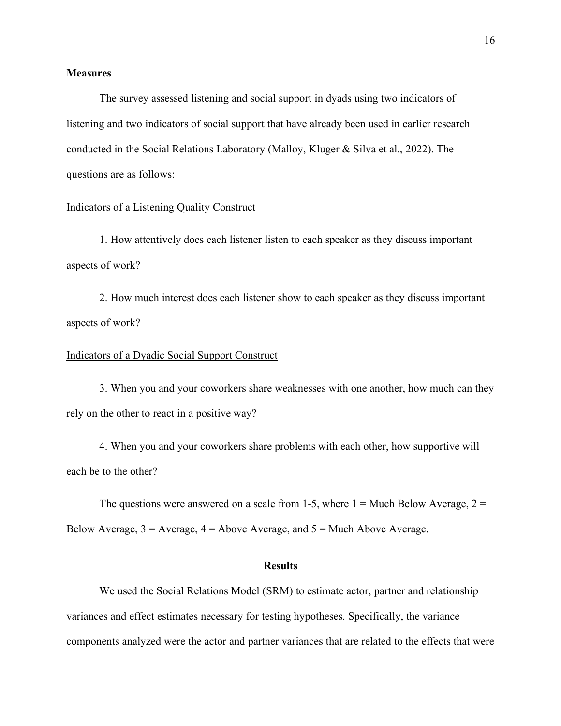#### **Measures**

The survey assessed listening and social support in dyads using two indicators of listening and two indicators of social support that have already been used in earlier research conducted in the Social Relations Laboratory (Malloy, Kluger & Silva et al., 2022). The questions are as follows:

#### Indicators of a Listening Quality Construct

1. How attentively does each listener listen to each speaker as they discuss important aspects of work?

2. How much interest does each listener show to each speaker as they discuss important aspects of work?

#### Indicators of a Dyadic Social Support Construct

3. When you and your coworkers share weaknesses with one another, how much can they rely on the other to react in a positive way?

4. When you and your coworkers share problems with each other, how supportive will each be to the other?

The questions were answered on a scale from 1-5, where  $1 =$  Much Below Average,  $2 =$ Below Average,  $3 =$  Average,  $4 =$  Above Average, and  $5 =$  Much Above Average.

#### **Results**

We used the Social Relations Model (SRM) to estimate actor, partner and relationship variances and effect estimates necessary for testing hypotheses. Specifically, the variance components analyzed were the actor and partner variances that are related to the effects that were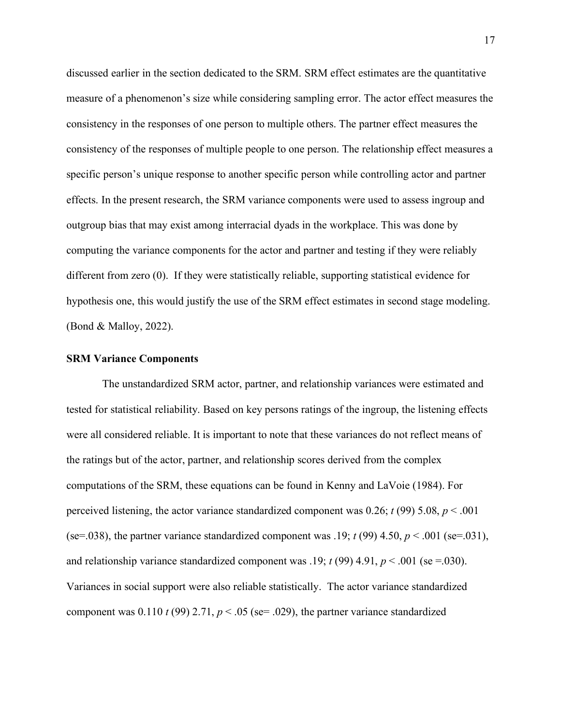discussed earlier in the section dedicated to the SRM. SRM effect estimates are the quantitative measure of a phenomenon's size while considering sampling error. The actor effect measures the consistency in the responses of one person to multiple others. The partner effect measures the consistency of the responses of multiple people to one person. The relationship effect measures a specific person's unique response to another specific person while controlling actor and partner effects. In the present research, the SRM variance components were used to assess ingroup and outgroup bias that may exist among interracial dyads in the workplace. This was done by computing the variance components for the actor and partner and testing if they were reliably different from zero (0). If they were statistically reliable, supporting statistical evidence for hypothesis one, this would justify the use of the SRM effect estimates in second stage modeling. (Bond & Malloy, 2022).

#### **SRM Variance Components**

The unstandardized SRM actor, partner, and relationship variances were estimated and tested for statistical reliability. Based on key persons ratings of the ingroup, the listening effects were all considered reliable. It is important to note that these variances do not reflect means of the ratings but of the actor, partner, and relationship scores derived from the complex computations of the SRM, these equations can be found in Kenny and LaVoie (1984). For perceived listening, the actor variance standardized component was 0.26;  $t$  (99) 5.08,  $p < .001$ (se=.038), the partner variance standardized component was .19;  $t$  (99) 4.50,  $p < .001$  (se=.031), and relationship variance standardized component was .19;  $t$  (99) 4.91,  $p < .001$  (se =.030). Variances in social support were also reliable statistically. The actor variance standardized component was  $0.110 t(99) 2.71$ ,  $p < .05$  (se= .029), the partner variance standardized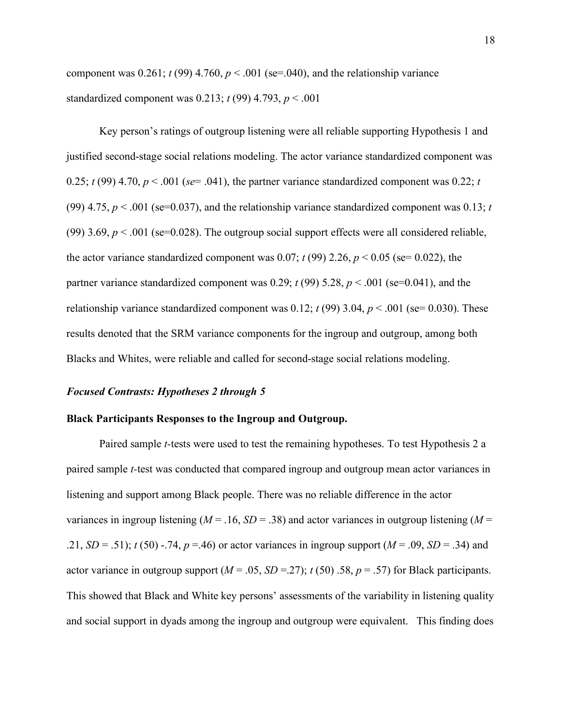component was 0.261;  $t$  (99) 4.760,  $p$  < .001 (se=.040), and the relationship variance standardized component was 0.213; *t* (99) 4.793, *p* < .001

Key person's ratings of outgroup listening were all reliable supporting Hypothesis 1 and justified second-stage social relations modeling. The actor variance standardized component was 0.25;  $t(99)$  4.70,  $p < .001$  ( $se = .041$ ), the partner variance standardized component was 0.22; *t* (99) 4.75,  $p < .001$  (se=0.037), and the relationship variance standardized component was 0.13; *t* (99) 3.69,  $p < 0.001$  (se=0.028). The outgroup social support effects were all considered reliable, the actor variance standardized component was  $0.07$ ;  $t(99)$  2.26,  $p < 0.05$  (se= 0.022), the partner variance standardized component was 0.29;  $t$  (99) 5.28,  $p$  < .001 (se=0.041), and the relationship variance standardized component was 0.12;  $t$  (99) 3.04,  $p < .001$  (se= 0.030). These results denoted that the SRM variance components for the ingroup and outgroup, among both Blacks and Whites, were reliable and called for second-stage social relations modeling.

#### *Focused Contrasts: Hypotheses 2 through 5*

#### **Black Participants Responses to the Ingroup and Outgroup.**

Paired sample *t-*tests were used to test the remaining hypotheses. To test Hypothesis 2 a paired sample *t-*test was conducted that compared ingroup and outgroup mean actor variances in listening and support among Black people. There was no reliable difference in the actor variances in ingroup listening ( $M = 0.16$ ,  $SD = 0.38$ ) and actor variances in outgroup listening ( $M =$ .21,  $SD = .51$ ;  $t(50) - .74$ ,  $p = .46$ ) or actor variances in ingroup support ( $M = .09$ ,  $SD = .34$ ) and actor variance in outgroup support  $(M = .05, SD = .27)$ ;  $t(50)$ . 58,  $p = .57$ ) for Black participants. This showed that Black and White key persons' assessments of the variability in listening quality and social support in dyads among the ingroup and outgroup were equivalent. This finding does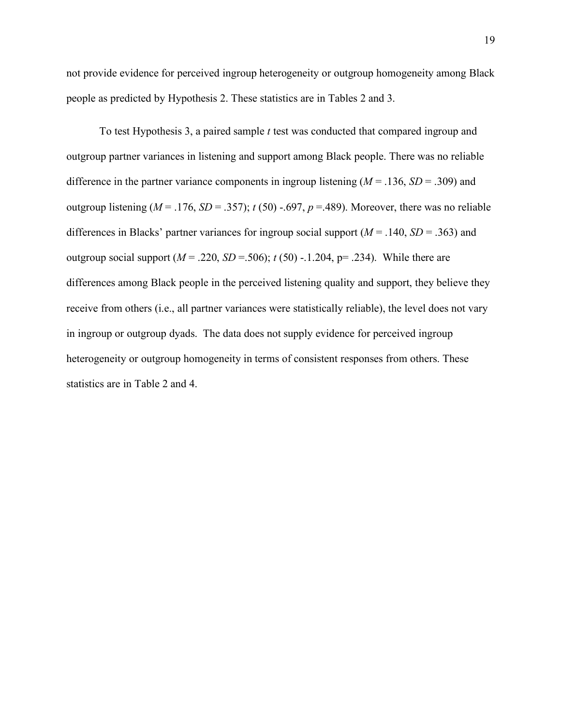not provide evidence for perceived ingroup heterogeneity or outgroup homogeneity among Black people as predicted by Hypothesis 2. These statistics are in Tables 2 and 3.

To test Hypothesis 3, a paired sample *t* test was conducted that compared ingroup and outgroup partner variances in listening and support among Black people. There was no reliable difference in the partner variance components in ingroup listening  $(M = .136, SD = .309)$  and outgroup listening ( $M = 0.176$ ,  $SD = 0.357$ );  $t(50) -0.697$ ,  $p = 0.489$ ). Moreover, there was no reliable differences in Blacks' partner variances for ingroup social support  $(M = .140, SD = .363)$  and outgroup social support  $(M = .220, SD = .506)$ ;  $t(50)$  -.1.204, p= .234). While there are differences among Black people in the perceived listening quality and support, they believe they receive from others (i.e., all partner variances were statistically reliable), the level does not vary in ingroup or outgroup dyads. The data does not supply evidence for perceived ingroup heterogeneity or outgroup homogeneity in terms of consistent responses from others. These statistics are in Table 2 and 4.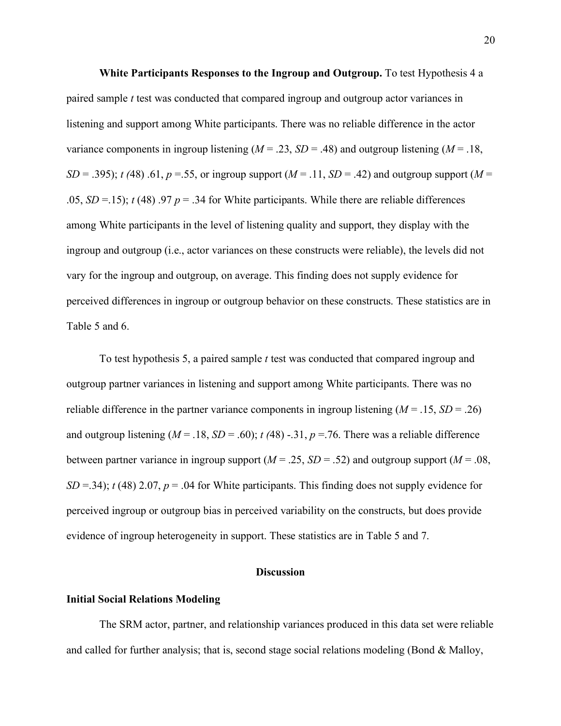**White Participants Responses to the Ingroup and Outgroup.** To test Hypothesis 4 a paired sample *t* test was conducted that compared ingroup and outgroup actor variances in listening and support among White participants. There was no reliable difference in the actor variance components in ingroup listening  $(M = .23, SD = .48)$  and outgroup listening  $(M = .18,$ *SD* = .395); *t* (48) .61, *p* = .55, or ingroup support (*M* = .11, *SD* = .42) and outgroup support (*M* = .05,  $SD = 15$ );  $t(48)$ .97  $p = 0.34$  for White participants. While there are reliable differences among White participants in the level of listening quality and support, they display with the ingroup and outgroup (i.e., actor variances on these constructs were reliable), the levels did not vary for the ingroup and outgroup, on average. This finding does not supply evidence for perceived differences in ingroup or outgroup behavior on these constructs. These statistics are in Table 5 and 6.

To test hypothesis 5, a paired sample *t* test was conducted that compared ingroup and outgroup partner variances in listening and support among White participants. There was no reliable difference in the partner variance components in ingroup listening  $(M = .15, SD = .26)$ and outgroup listening  $(M = .18, SD = .60)$ ;  $t(48)$  -.31,  $p = .76$ . There was a reliable difference between partner variance in ingroup support ( $M = .25$ ,  $SD = .52$ ) and outgroup support ( $M = .08$ , *SD* = .34); *t* (48) 2.07, *p* = .04 for White participants. This finding does not supply evidence for perceived ingroup or outgroup bias in perceived variability on the constructs, but does provide evidence of ingroup heterogeneity in support. These statistics are in Table 5 and 7.

#### **Discussion**

#### **Initial Social Relations Modeling**

The SRM actor, partner, and relationship variances produced in this data set were reliable and called for further analysis; that is, second stage social relations modeling (Bond & Malloy,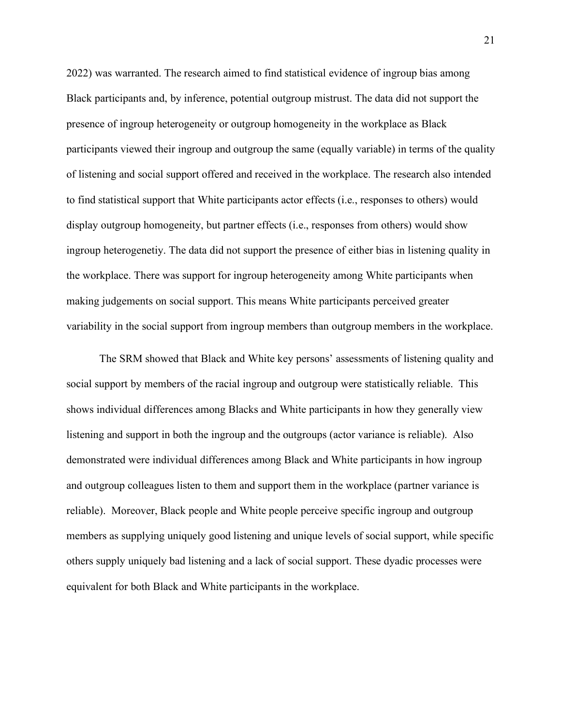2022) was warranted. The research aimed to find statistical evidence of ingroup bias among Black participants and, by inference, potential outgroup mistrust. The data did not support the presence of ingroup heterogeneity or outgroup homogeneity in the workplace as Black participants viewed their ingroup and outgroup the same (equally variable) in terms of the quality of listening and social support offered and received in the workplace. The research also intended to find statistical support that White participants actor effects (i.e., responses to others) would display outgroup homogeneity, but partner effects (i.e., responses from others) would show ingroup heterogenetiy. The data did not support the presence of either bias in listening quality in the workplace. There was support for ingroup heterogeneity among White participants when making judgements on social support. This means White participants perceived greater variability in the social support from ingroup members than outgroup members in the workplace.

The SRM showed that Black and White key persons' assessments of listening quality and social support by members of the racial ingroup and outgroup were statistically reliable. This shows individual differences among Blacks and White participants in how they generally view listening and support in both the ingroup and the outgroups (actor variance is reliable). Also demonstrated were individual differences among Black and White participants in how ingroup and outgroup colleagues listen to them and support them in the workplace (partner variance is reliable). Moreover, Black people and White people perceive specific ingroup and outgroup members as supplying uniquely good listening and unique levels of social support, while specific others supply uniquely bad listening and a lack of social support. These dyadic processes were equivalent for both Black and White participants in the workplace.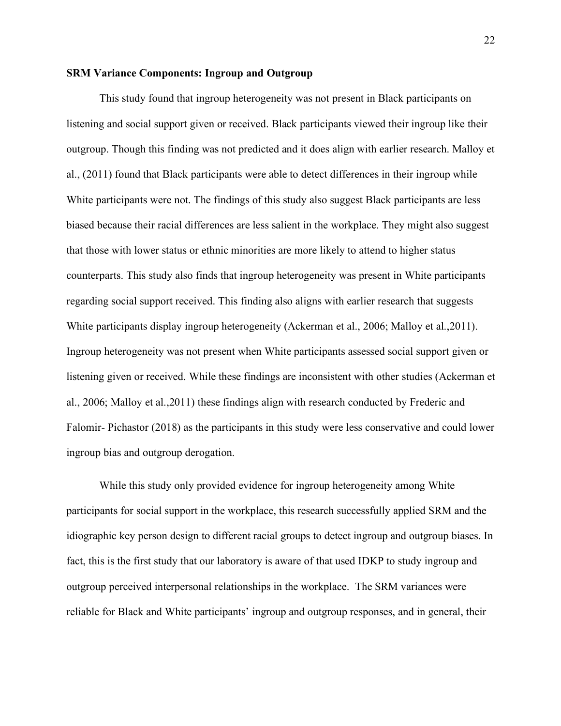#### **SRM Variance Components: Ingroup and Outgroup**

This study found that ingroup heterogeneity was not present in Black participants on listening and social support given or received. Black participants viewed their ingroup like their outgroup. Though this finding was not predicted and it does align with earlier research. Malloy et al., (2011) found that Black participants were able to detect differences in their ingroup while White participants were not. The findings of this study also suggest Black participants are less biased because their racial differences are less salient in the workplace. They might also suggest that those with lower status or ethnic minorities are more likely to attend to higher status counterparts. This study also finds that ingroup heterogeneity was present in White participants regarding social support received. This finding also aligns with earlier research that suggests White participants display ingroup heterogeneity (Ackerman et al., 2006; Malloy et al., 2011). Ingroup heterogeneity was not present when White participants assessed social support given or listening given or received. While these findings are inconsistent with other studies (Ackerman et al., 2006; Malloy et al.,2011) these findings align with research conducted by Frederic and Falomir- Pichastor (2018) as the participants in this study were less conservative and could lower ingroup bias and outgroup derogation.

While this study only provided evidence for ingroup heterogeneity among White participants for social support in the workplace, this research successfully applied SRM and the idiographic key person design to different racial groups to detect ingroup and outgroup biases. In fact, this is the first study that our laboratory is aware of that used IDKP to study ingroup and outgroup perceived interpersonal relationships in the workplace. The SRM variances were reliable for Black and White participants' ingroup and outgroup responses, and in general, their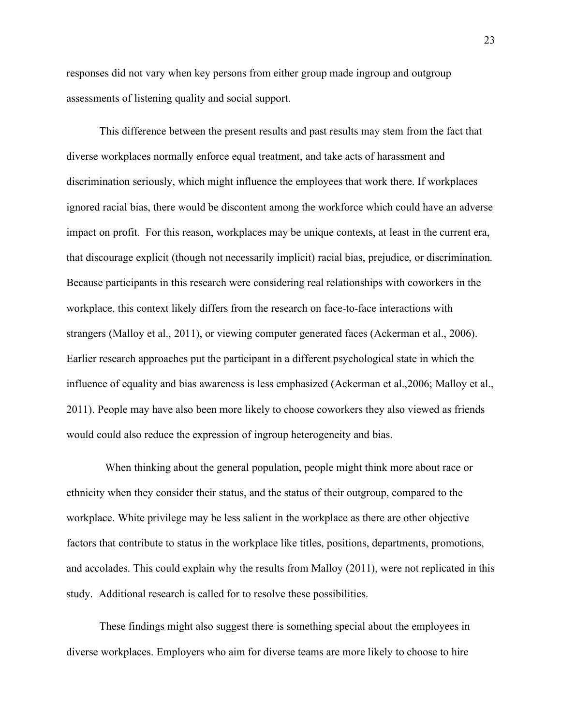responses did not vary when key persons from either group made ingroup and outgroup assessments of listening quality and social support.

This difference between the present results and past results may stem from the fact that diverse workplaces normally enforce equal treatment, and take acts of harassment and discrimination seriously, which might influence the employees that work there. If workplaces ignored racial bias, there would be discontent among the workforce which could have an adverse impact on profit. For this reason, workplaces may be unique contexts, at least in the current era, that discourage explicit (though not necessarily implicit) racial bias, prejudice, or discrimination. Because participants in this research were considering real relationships with coworkers in the workplace, this context likely differs from the research on face-to-face interactions with strangers (Malloy et al., 2011), or viewing computer generated faces (Ackerman et al., 2006). Earlier research approaches put the participant in a different psychological state in which the influence of equality and bias awareness is less emphasized (Ackerman et al.,2006; Malloy et al., 2011). People may have also been more likely to choose coworkers they also viewed as friends would could also reduce the expression of ingroup heterogeneity and bias.

 When thinking about the general population, people might think more about race or ethnicity when they consider their status, and the status of their outgroup, compared to the workplace. White privilege may be less salient in the workplace as there are other objective factors that contribute to status in the workplace like titles, positions, departments, promotions, and accolades. This could explain why the results from Malloy (2011), were not replicated in this study. Additional research is called for to resolve these possibilities.

These findings might also suggest there is something special about the employees in diverse workplaces. Employers who aim for diverse teams are more likely to choose to hire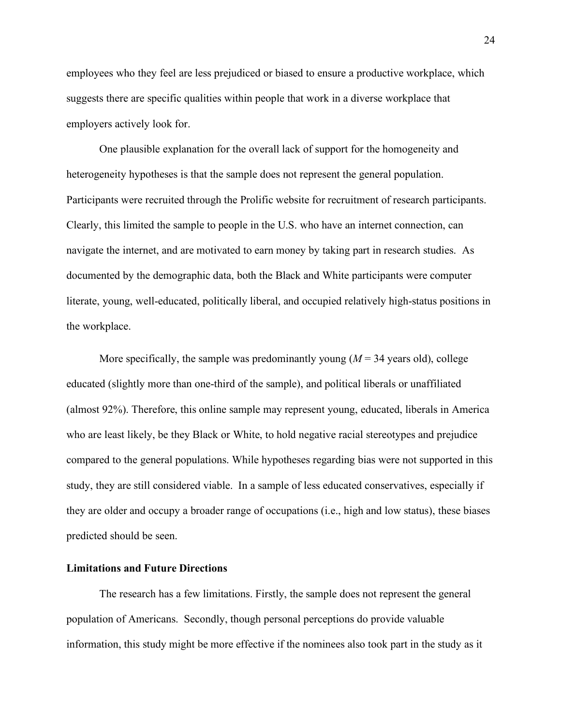employees who they feel are less prejudiced or biased to ensure a productive workplace, which suggests there are specific qualities within people that work in a diverse workplace that employers actively look for.

One plausible explanation for the overall lack of support for the homogeneity and heterogeneity hypotheses is that the sample does not represent the general population. Participants were recruited through the Prolific website for recruitment of research participants. Clearly, this limited the sample to people in the U.S. who have an internet connection, can navigate the internet, and are motivated to earn money by taking part in research studies. As documented by the demographic data, both the Black and White participants were computer literate, young, well-educated, politically liberal, and occupied relatively high-status positions in the workplace.

More specifically, the sample was predominantly young  $(M = 34$  years old), college educated (slightly more than one-third of the sample), and political liberals or unaffiliated (almost 92%). Therefore, this online sample may represent young, educated, liberals in America who are least likely, be they Black or White, to hold negative racial stereotypes and prejudice compared to the general populations. While hypotheses regarding bias were not supported in this study, they are still considered viable. In a sample of less educated conservatives, especially if they are older and occupy a broader range of occupations (i.e., high and low status), these biases predicted should be seen.

#### **Limitations and Future Directions**

The research has a few limitations. Firstly, the sample does not represent the general population of Americans. Secondly, though personal perceptions do provide valuable information, this study might be more effective if the nominees also took part in the study as it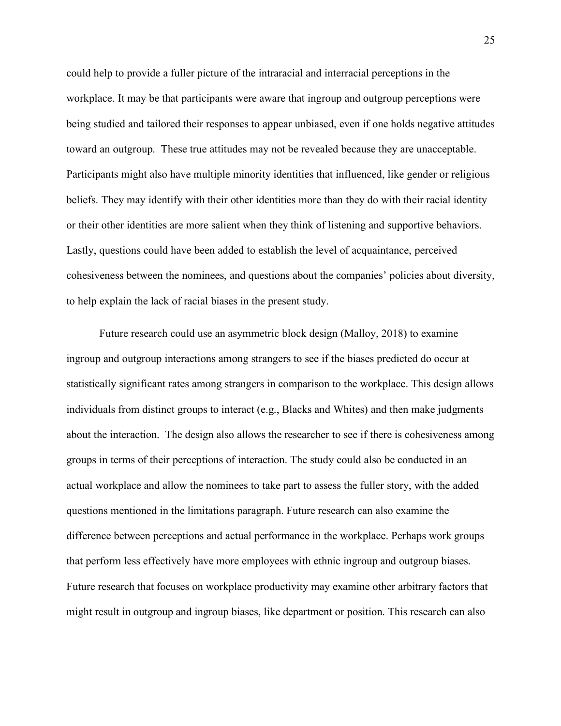could help to provide a fuller picture of the intraracial and interracial perceptions in the workplace. It may be that participants were aware that ingroup and outgroup perceptions were being studied and tailored their responses to appear unbiased, even if one holds negative attitudes toward an outgroup. These true attitudes may not be revealed because they are unacceptable. Participants might also have multiple minority identities that influenced, like gender or religious beliefs. They may identify with their other identities more than they do with their racial identity or their other identities are more salient when they think of listening and supportive behaviors. Lastly, questions could have been added to establish the level of acquaintance, perceived cohesiveness between the nominees, and questions about the companies' policies about diversity, to help explain the lack of racial biases in the present study.

Future research could use an asymmetric block design (Malloy, 2018) to examine ingroup and outgroup interactions among strangers to see if the biases predicted do occur at statistically significant rates among strangers in comparison to the workplace. This design allows individuals from distinct groups to interact (e.g., Blacks and Whites) and then make judgments about the interaction. The design also allows the researcher to see if there is cohesiveness among groups in terms of their perceptions of interaction. The study could also be conducted in an actual workplace and allow the nominees to take part to assess the fuller story, with the added questions mentioned in the limitations paragraph. Future research can also examine the difference between perceptions and actual performance in the workplace. Perhaps work groups that perform less effectively have more employees with ethnic ingroup and outgroup biases. Future research that focuses on workplace productivity may examine other arbitrary factors that might result in outgroup and ingroup biases, like department or position. This research can also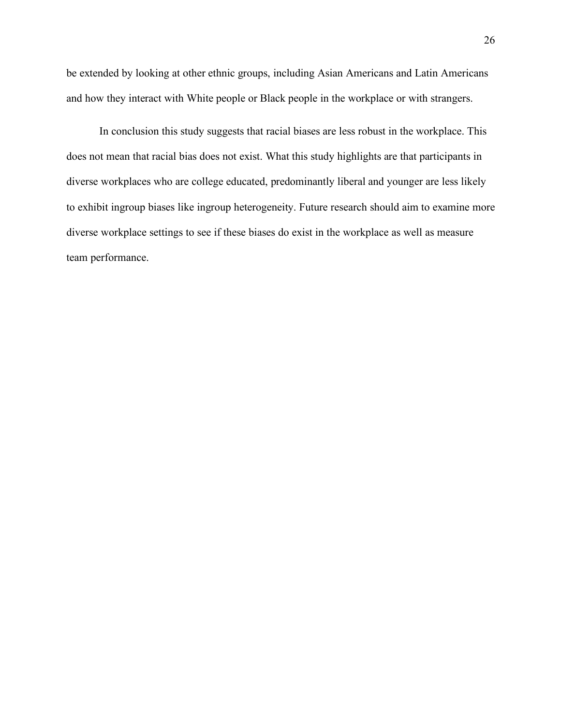be extended by looking at other ethnic groups, including Asian Americans and Latin Americans and how they interact with White people or Black people in the workplace or with strangers.

In conclusion this study suggests that racial biases are less robust in the workplace. This does not mean that racial bias does not exist. What this study highlights are that participants in diverse workplaces who are college educated, predominantly liberal and younger are less likely to exhibit ingroup biases like ingroup heterogeneity. Future research should aim to examine more diverse workplace settings to see if these biases do exist in the workplace as well as measure team performance.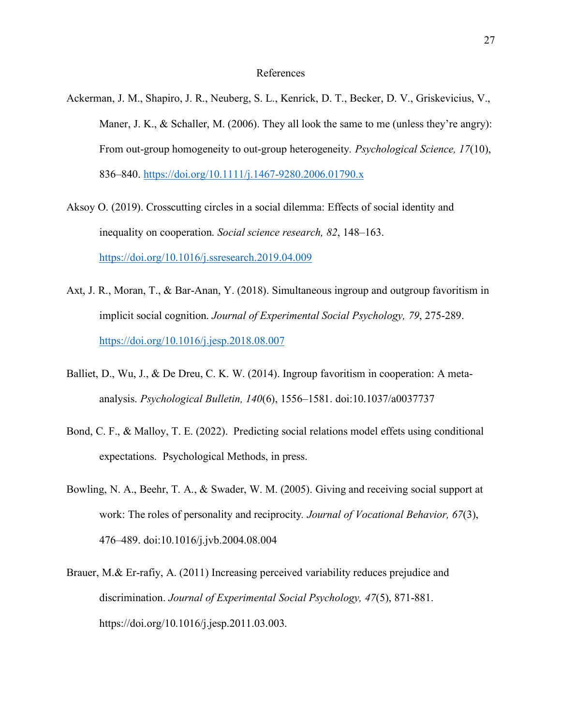#### References

- Ackerman, J. M., Shapiro, J. R., Neuberg, S. L., Kenrick, D. T., Becker, D. V., Griskevicius, V., Maner, J. K., & Schaller, M. (2006). They all look the same to me (unless they're angry): From out-group homogeneity to out-group heterogeneity*. Psychological Science, 17*(10), 836–840. https://doi.org/10.1111/j.1467-9280.2006.01790.x
- Aksoy O. (2019). Crosscutting circles in a social dilemma: Effects of social identity and inequality on cooperation. *Social science research, 82*, 148–163. https://doi.org/10.1016/j.ssresearch.2019.04.009
- Axt, J. R., Moran, T., & Bar-Anan, Y. (2018). Simultaneous ingroup and outgroup favoritism in implicit social cognition. *Journal of Experimental Social Psychology, 79*, 275-289. https://doi.org/10.1016/j.jesp.2018.08.007
- Balliet, D., Wu, J., & De Dreu, C. K. W. (2014). Ingroup favoritism in cooperation: A metaanalysis. *Psychological Bulletin, 140*(6), 1556–1581. doi:10.1037/a0037737
- Bond, C. F., & Malloy, T. E. (2022). Predicting social relations model effets using conditional expectations. Psychological Methods, in press.
- Bowling, N. A., Beehr, T. A., & Swader, W. M. (2005). Giving and receiving social support at work: The roles of personality and reciprocity*. Journal of Vocational Behavior, 67*(3), 476–489. doi:10.1016/j.jvb.2004.08.004
- Brauer, M.& Er-rafiy, A. (2011) Increasing perceived variability reduces prejudice and discrimination. *Journal of Experimental Social Psychology, 47*(5), 871-881. https://doi.org/10.1016/j.jesp.2011.03.003.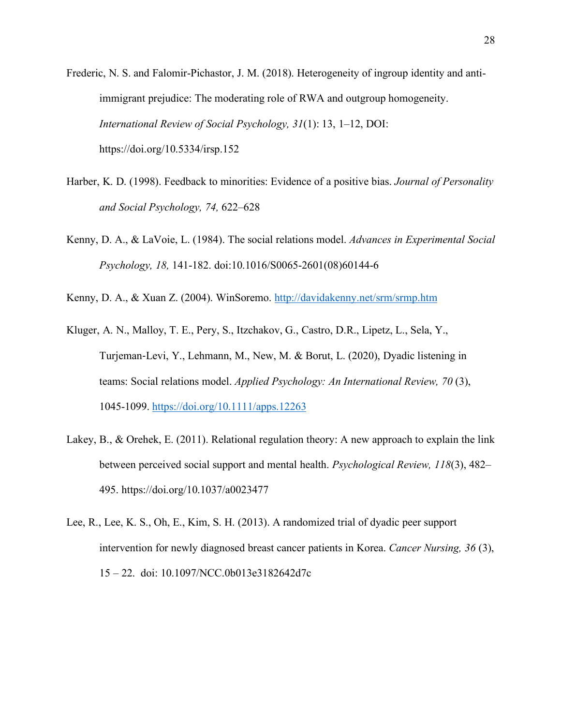- Frederic, N. S. and Falomir-Pichastor, J. M. (2018). Heterogeneity of ingroup identity and antiimmigrant prejudice: The moderating role of RWA and outgroup homogeneity. *International Review of Social Psychology, 31*(1): 13, 1–12, DOI: https://doi.org/10.5334/irsp.152
- Harber, K. D. (1998). Feedback to minorities: Evidence of a positive bias. *Journal of Personality and Social Psychology, 74,* 622–628
- Kenny, D. A., & LaVoie, L. (1984). The social relations model. *Advances in Experimental Social Psychology, 18,* 141-182. doi:10.1016/S0065-2601(08)60144-6
- Kenny, D. A., & Xuan Z. (2004). WinSoremo. http://davidakenny.net/srm/srmp.htm
- Kluger, A. N., Malloy, T. E., Pery, S., Itzchakov, G., Castro, D.R., Lipetz, L., Sela, Y., Turjeman-Levi, Y., Lehmann, M., New, M. & Borut, L. (2020), Dyadic listening in teams: Social relations model. *Applied Psychology: An International Review, 70* (3), 1045-1099. https://doi.org/10.1111/apps.12263
- Lakey, B., & Orehek, E. (2011). Relational regulation theory: A new approach to explain the link between perceived social support and mental health. *Psychological Review, 118*(3), 482– 495. https://doi.org/10.1037/a0023477
- Lee, R., Lee, K. S., Oh, E., Kim, S. H. (2013). A randomized trial of dyadic peer support intervention for newly diagnosed breast cancer patients in Korea. *Cancer Nursing, 36* (3), 15 – 22. doi: 10.1097/NCC.0b013e3182642d7c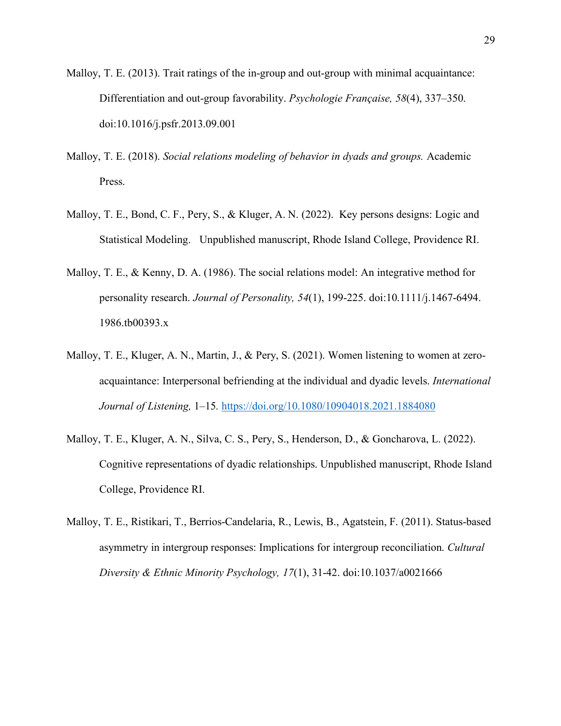- Malloy, T. E. (2013). Trait ratings of the in-group and out-group with minimal acquaintance: Differentiation and out-group favorability. *Psychologie Française, 58*(4), 337–350. doi:10.1016/j.psfr.2013.09.001
- Malloy, T. E. (2018). *Social relations modeling of behavior in dyads and groups.* Academic Press.
- Malloy, T. E., Bond, C. F., Pery, S., & Kluger, A. N. (2022). Key persons designs: Logic and Statistical Modeling. Unpublished manuscript, Rhode Island College, Providence RI.
- Malloy, T. E., & Kenny, D. A. (1986). The social relations model: An integrative method for personality research. *Journal of Personality, 54*(1), 199-225. doi:10.1111/j.1467-6494. 1986.tb00393.x
- Malloy, T. E., Kluger, A. N., Martin, J., & Pery, S. (2021). Women listening to women at zeroacquaintance: Interpersonal befriending at the individual and dyadic levels. *International Journal of Listening,* 1–15*.* https://doi.org/10.1080/10904018.2021.1884080
- Malloy, T. E., Kluger, A. N., Silva, C. S., Pery, S., Henderson, D., & Goncharova, L. (2022). Cognitive representations of dyadic relationships. Unpublished manuscript, Rhode Island College, Providence RI.
- Malloy, T. E., Ristikari, T., Berrios-Candelaria, R., Lewis, B., Agatstein, F. (2011). Status-based asymmetry in intergroup responses: Implications for intergroup reconciliation. *Cultural Diversity & Ethnic Minority Psychology, 17*(1), 31-42. doi:10.1037/a0021666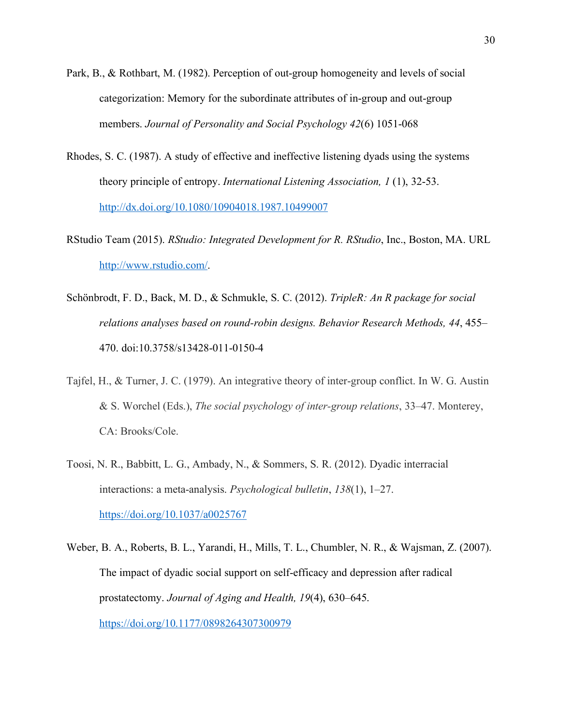- Park, B., & Rothbart, M. (1982). Perception of out-group homogeneity and levels of social categorization: Memory for the subordinate attributes of in-group and out-group members. *Journal of Personality and Social Psychology 42*(6) 1051-068
- Rhodes, S. C. (1987). A study of effective and ineffective listening dyads using the systems theory principle of entropy. *International Listening Association, 1* (1), 32-53. http://dx.doi.org/10.1080/10904018.1987.10499007
- RStudio Team (2015). *RStudio: Integrated Development for R. RStudio*, Inc., Boston, MA. URL http://www.rstudio.com/.
- Schönbrodt, F. D., Back, M. D., & Schmukle, S. C. (2012). *TripleR: An R package for social relations analyses based on round-robin designs. Behavior Research Methods, 44*, 455– 470. doi:10.3758/s13428-011-0150-4
- Tajfel, H., & Turner, J. C. (1979). An integrative theory of inter-group conflict. In W. G. Austin & S. Worchel (Eds.), *The social psychology of inter-group relations*, 33–47. Monterey, CA: Brooks/Cole.
- Toosi, N. R., Babbitt, L. G., Ambady, N., & Sommers, S. R. (2012). Dyadic interracial interactions: a meta-analysis. *Psychological bulletin*, *138*(1), 1–27. https://doi.org/10.1037/a0025767
- Weber, B. A., Roberts, B. L., Yarandi, H., Mills, T. L., Chumbler, N. R., & Wajsman, Z. (2007). The impact of dyadic social support on self-efficacy and depression after radical prostatectomy. *Journal of Aging and Health, 19*(4), 630–645. https://doi.org/10.1177/0898264307300979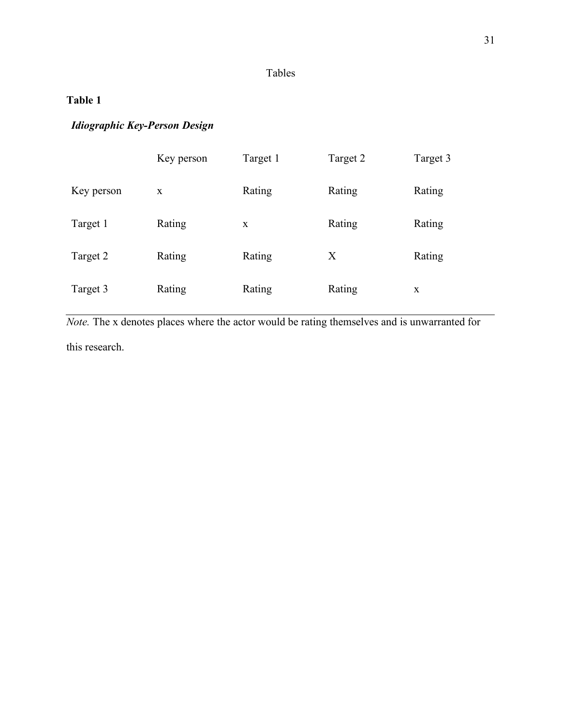## **Table 1**

### *Idiographic Key-Person Design*

|            | Key person   | Target 1 | Target 2 | Target 3 |
|------------|--------------|----------|----------|----------|
| Key person | $\mathbf{X}$ | Rating   | Rating   | Rating   |
| Target 1   | Rating       | X        | Rating   | Rating   |
| Target 2   | Rating       | Rating   | X        | Rating   |
| Target 3   | Rating       | Rating   | Rating   | X        |

*Note.* The x denotes places where the actor would be rating themselves and is unwarranted for this research.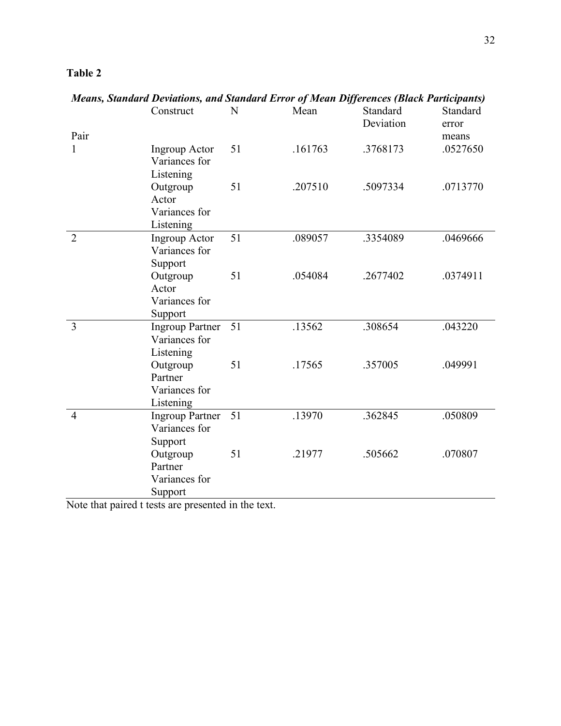| ור<br>ш |  |
|---------|--|
|---------|--|

| Means, Standard Devidtions, and Standard Error of Mean Differences (Biack Participants) |                        |    |         |           |          |
|-----------------------------------------------------------------------------------------|------------------------|----|---------|-----------|----------|
|                                                                                         | Construct              | N  | Mean    | Standard  | Standard |
|                                                                                         |                        |    |         | Deviation | error    |
| Pair                                                                                    |                        |    |         |           | means    |
| 1                                                                                       | <b>Ingroup Actor</b>   | 51 | .161763 | .3768173  | .0527650 |
|                                                                                         | Variances for          |    |         |           |          |
|                                                                                         | Listening              |    |         |           |          |
|                                                                                         | Outgroup               | 51 | .207510 | .5097334  | .0713770 |
|                                                                                         | Actor                  |    |         |           |          |
|                                                                                         | Variances for          |    |         |           |          |
|                                                                                         | Listening              |    |         |           |          |
| $\overline{2}$                                                                          |                        | 51 | .089057 | .3354089  | .0469666 |
|                                                                                         | <b>Ingroup Actor</b>   |    |         |           |          |
|                                                                                         | Variances for          |    |         |           |          |
|                                                                                         | Support                |    |         |           |          |
|                                                                                         | Outgroup               | 51 | .054084 | .2677402  | .0374911 |
|                                                                                         | Actor                  |    |         |           |          |
|                                                                                         | Variances for          |    |         |           |          |
|                                                                                         | Support                |    |         |           |          |
| $\overline{3}$                                                                          | <b>Ingroup Partner</b> | 51 | .13562  | .308654   | .043220  |
|                                                                                         | Variances for          |    |         |           |          |
|                                                                                         | Listening              |    |         |           |          |
|                                                                                         | Outgroup               | 51 | .17565  | .357005   | .049991  |
|                                                                                         | Partner                |    |         |           |          |
|                                                                                         | Variances for          |    |         |           |          |
|                                                                                         | Listening              |    |         |           |          |
| $\overline{4}$                                                                          | <b>Ingroup Partner</b> | 51 | .13970  | .362845   | .050809  |
|                                                                                         | Variances for          |    |         |           |          |
|                                                                                         | Support                |    |         |           |          |
|                                                                                         | Outgroup               | 51 | .21977  | .505662   | .070807  |
|                                                                                         | Partner                |    |         |           |          |
|                                                                                         | Variances for          |    |         |           |          |
|                                                                                         | Support                |    |         |           |          |

*Means, Standard Deviations, and Standard Error of Mean Differences (Black Participants)*

Note that paired t tests are presented in the text.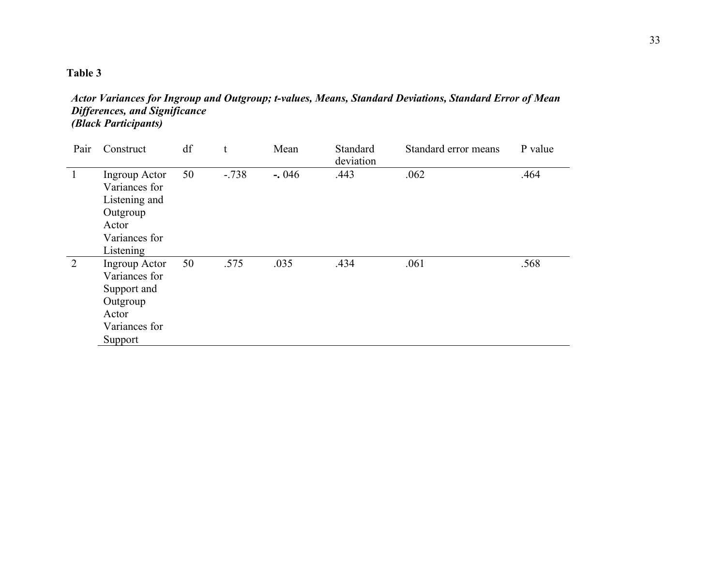*Actor Variances for Ingroup and Outgroup; t-values, Means, Standard Deviations, Standard Error of Mean Differences, and Significance (Black Participants)*

| Pair | Construct                                                                                          | df |        | Mean    | Standard<br>deviation | Standard error means | P value |
|------|----------------------------------------------------------------------------------------------------|----|--------|---------|-----------------------|----------------------|---------|
|      | Ingroup Actor<br>Variances for<br>Listening and<br>Outgroup<br>Actor<br>Variances for<br>Listening | 50 | $-738$ | $-.046$ | .443                  | .062                 | .464    |
| 2    | Ingroup Actor<br>Variances for<br>Support and<br>Outgroup<br>Actor<br>Variances for<br>Support     | 50 | .575   | .035    | .434                  | .061                 | .568    |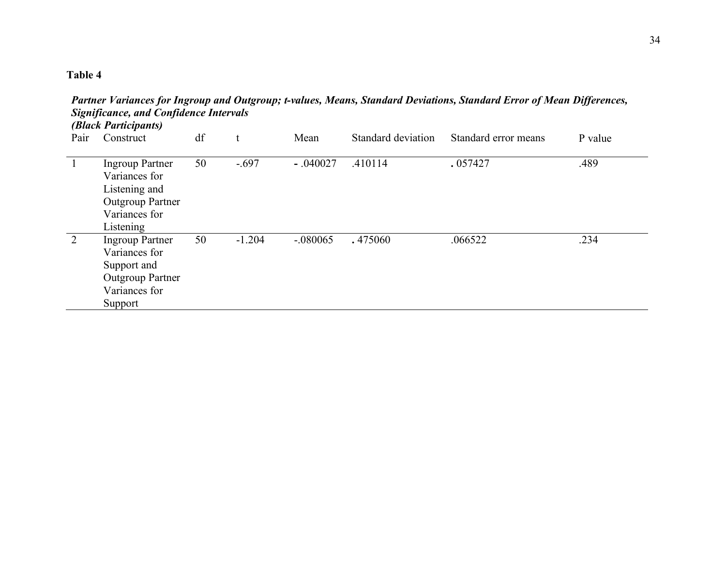|              | (Black Participants)                                                                                              |    |              |            |                    |                      |         |  |  |
|--------------|-------------------------------------------------------------------------------------------------------------------|----|--------------|------------|--------------------|----------------------|---------|--|--|
| Pair         | Construct                                                                                                         | df | $\mathbf{f}$ | Mean       | Standard deviation | Standard error means | P value |  |  |
| $\mathbf{1}$ | <b>Ingroup Partner</b><br>Variances for<br>Listening and<br><b>Outgroup Partner</b><br>Variances for<br>Listening | 50 | $-.697$      | $-.040027$ | .410114            | .057427              | .489    |  |  |
| 2            | <b>Ingroup Partner</b><br>Variances for<br>Support and<br><b>Outgroup Partner</b><br>Variances for<br>Support     | 50 | $-1.204$     | $-.080065$ | .475060            | .066522              | .234    |  |  |

*Partner Variances for Ingroup and Outgroup; t-values, Means, Standard Deviations, Standard Error of Mean Differences, Significance, and Confidence Intervals*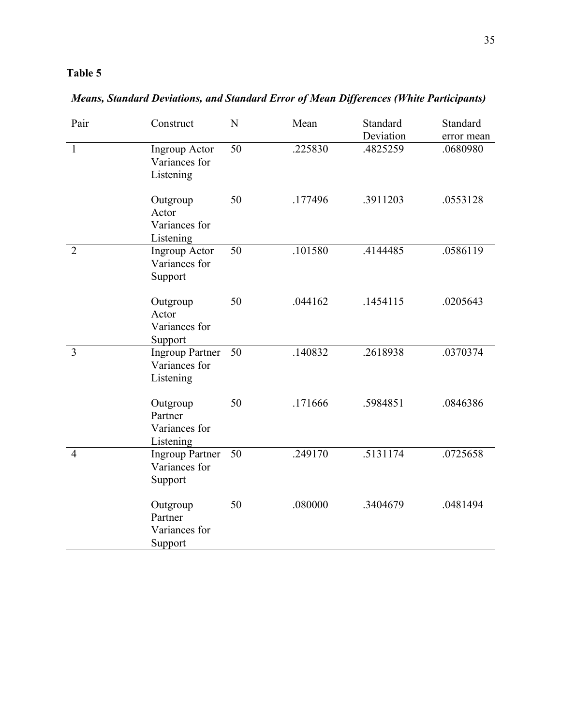| Pair           | Construct                                            | N  | Mean    | Standard<br>Deviation | Standard<br>error mean |
|----------------|------------------------------------------------------|----|---------|-----------------------|------------------------|
| $\mathbf{1}$   | <b>Ingroup Actor</b><br>Variances for<br>Listening   | 50 | .225830 | .4825259              | .0680980               |
|                | Outgroup<br>Actor<br>Variances for<br>Listening      | 50 | .177496 | .3911203              | .0553128               |
| $\overline{2}$ | <b>Ingroup Actor</b><br>Variances for<br>Support     | 50 | .101580 | .4144485              | .0586119               |
|                | Outgroup<br>Actor<br>Variances for<br>Support        | 50 | .044162 | .1454115              | .0205643               |
| $\overline{3}$ | <b>Ingroup Partner</b><br>Variances for<br>Listening | 50 | .140832 | .2618938              | .0370374               |
|                | Outgroup<br>Partner<br>Variances for<br>Listening    | 50 | .171666 | .5984851              | .0846386               |
| $\overline{4}$ | <b>Ingroup Partner</b><br>Variances for<br>Support   | 50 | .249170 | .5131174              | .0725658               |
|                | Outgroup<br>Partner<br>Variances for<br>Support      | 50 | .080000 | .3404679              | .0481494               |

*Means, Standard Deviations, and Standard Error of Mean Differences (White Participants)*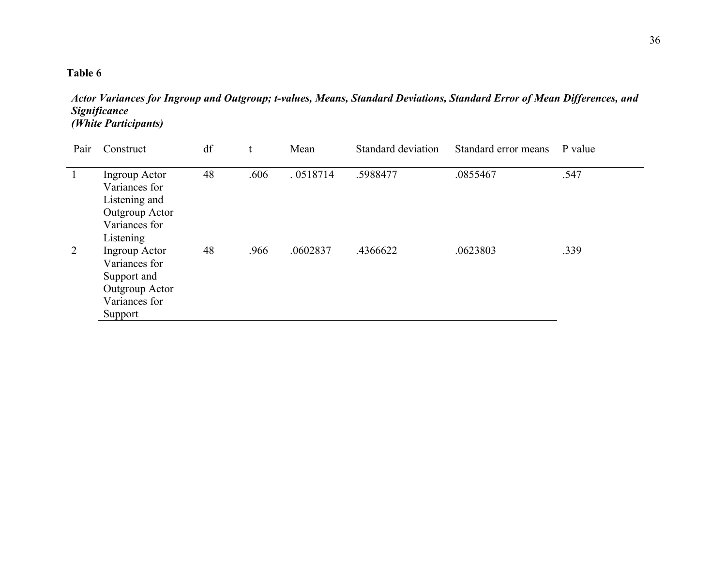| Actor Variances for Ingroup and Outgroup; t-values, Means, Standard Deviations, Standard Error of Mean Differences, and |  |  |
|-------------------------------------------------------------------------------------------------------------------------|--|--|
| <i><b>Significance</b></i>                                                                                              |  |  |
| <i>(White Participants)</i>                                                                                             |  |  |

| Pair         | Construct                                                                                                | df |      | Mean     | Standard deviation | Standard error means | P value |
|--------------|----------------------------------------------------------------------------------------------------------|----|------|----------|--------------------|----------------------|---------|
| $\mathbf{1}$ | Ingroup Actor<br>Variances for<br>Listening and<br>Outgroup Actor<br>Variances for                       | 48 | .606 | .0518714 | .5988477           | .0855467             | .547    |
| 2            | Listening<br>Ingroup Actor<br>Variances for<br>Support and<br>Outgroup Actor<br>Variances for<br>Support | 48 | .966 | .0602837 | .4366622           | .0623803             | .339    |